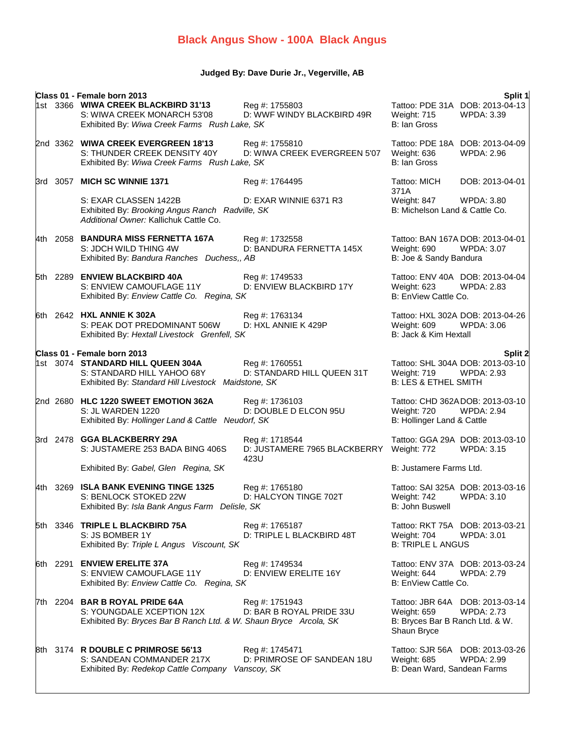# **Black Angus Show - 100A Black Angus**

## **Judged By: Dave Durie Jr., Vegerville, AB**

| Class 01 - Female born 2013 |                                                                                                                                                       |                                                             |                                                               |                                                                  |  |  |
|-----------------------------|-------------------------------------------------------------------------------------------------------------------------------------------------------|-------------------------------------------------------------|---------------------------------------------------------------|------------------------------------------------------------------|--|--|
|                             | 1st 3366 WIWA CREEK BLACKBIRD 31'13<br>S: WIWA CREEK MONARCH 53'08<br>Exhibited By: Wiwa Creek Farms Rush Lake, SK                                    | Reg #: 1755803<br>D: WWF WINDY BLACKBIRD 49R                | Weight: 715<br>B: Ian Gross                                   | Split 1<br>Tattoo: PDE 31A DOB: 2013-04-13<br>WPDA: 3.39         |  |  |
|                             | 2nd 3362 WIWA CREEK EVERGREEN 18'13<br>S: THUNDER CREEK DENSITY 40Y<br>Exhibited By: Wiwa Creek Farms Rush Lake, SK                                   | Reg #: 1755810<br>D: WIWA CREEK EVERGREEN 5'07              | Weight: 636<br>B: Ian Gross                                   | Tattoo: PDE 18A DOB: 2013-04-09<br><b>WPDA: 2.96</b>             |  |  |
|                             | 3rd 3057 MICH SC WINNIE 1371                                                                                                                          | Reg #: 1764495                                              | Tattoo: MICH<br>371A                                          | DOB: 2013-04-01                                                  |  |  |
|                             | S: EXAR CLASSEN 1422B<br>Exhibited By: Brooking Angus Ranch Radville, SK<br>Additional Owner: Kallichuk Cattle Co.                                    | D: EXAR WINNIE 6371 R3                                      | Weight: 847<br>B: Michelson Land & Cattle Co.                 | WPDA: 3.80                                                       |  |  |
|                             | 4th 2058 BANDURA MISS FERNETTA 167A<br>S: JDCH WILD THING 4W<br>Exhibited By: Bandura Ranches Duchess,, AB                                            | Reg #: 1732558<br>D: BANDURA FERNETTA 145X                  | Weight: 690<br>B: Joe & Sandy Bandura                         | Tattoo: BAN 167A DOB: 2013-04-01<br><b>WPDA: 3.07</b>            |  |  |
|                             | 5th 2289 ENVIEW BLACKBIRD 40A<br>S: ENVIEW CAMOUFLAGE 11Y<br>Exhibited By: Enview Cattle Co. Regina, SK                                               | Reg #: 1749533<br>D: ENVIEW BLACKBIRD 17Y                   | Weight: 623<br>B: EnView Cattle Co.                           | Tattoo: ENV 40A DOB: 2013-04-04<br><b>WPDA: 2.83</b>             |  |  |
|                             | 6th 2642 HXL ANNIE K 302A<br>S: PEAK DOT PREDOMINANT 506W<br>Exhibited By: Hextall Livestock Grenfell, SK                                             | Reg #: 1763134<br>D: HXL ANNIE K 429P                       | Weight: 609<br>B: Jack & Kim Hextall                          | Tattoo: HXL 302A DOB: 2013-04-26<br><b>WPDA: 3.06</b>            |  |  |
|                             |                                                                                                                                                       |                                                             |                                                               |                                                                  |  |  |
|                             | Class 01 - Female born 2013<br>1st 3074 STANDARD HILL QUEEN 304A<br>S: STANDARD HILL YAHOO 68Y<br>Exhibited By: Standard Hill Livestock Maidstone, SK | Reg #: 1760551<br>D: STANDARD HILL QUEEN 31T                | Weight: 719<br><b>B: LES &amp; ETHEL SMITH</b>                | Split 2<br>Tattoo: SHL 304A DOB: 2013-03-10<br><b>WPDA: 2.93</b> |  |  |
|                             | 2nd 2680 HLC 1220 SWEET EMOTION 362A<br>S: JL WARDEN 1220<br>Exhibited By: Hollinger Land & Cattle Neudorf, SK                                        | Reg #: 1736103<br>D: DOUBLE D ELCON 95U                     | Weight: 720<br>B: Hollinger Land & Cattle                     | Tattoo: CHD 362ADOB: 2013-03-10<br><b>WPDA: 2.94</b>             |  |  |
|                             | 3rd 2478 GGA BLACKBERRY 29A<br>S: JUSTAMERE 253 BADA BING 406S                                                                                        | Reg #: 1718544<br>D: JUSTAMERE 7965 BLACKBERRY<br>423U      | Weight: 772                                                   | Tattoo: GGA 29A DOB: 2013-03-10<br><b>WPDA: 3.15</b>             |  |  |
|                             | Exhibited By: Gabel, Glen Regina, SK                                                                                                                  |                                                             | B: Justamere Farms Ltd.                                       |                                                                  |  |  |
| 4th 3269                    | <b>ISLA BANK EVENING TINGE 1325</b><br>S: BENLOCK STOKED 22W<br>Exhibited By: Isla Bank Angus Farm Delisle, SK                                        | Reg #: 1765180<br>D: HALCYON TINGE 702T                     | Weight: 742<br>B: John Buswell                                | Tattoo: SAI 325A DOB: 2013-03-16<br>WPDA: 3.10                   |  |  |
|                             | 5th 3346 TRIPLE L BLACKBIRD 75A<br>S: JS BOMBER 1Y<br>Exhibited By: Triple L Angus Viscount, SK                                                       | Reg #: 1765187<br>D: TRIPLE L BLACKBIRD 48T                 | Weight: 704<br><b>B: TRIPLE L ANGUS</b>                       | Tattoo: RKT 75A DOB: 2013-03-21<br><b>WPDA: 3.01</b>             |  |  |
|                             | 6th 2291 ENVIEW ERELITE 37A<br>S: ENVIEW CAMOUFLAGE 11Y<br>Exhibited By: Enview Cattle Co. Regina, SK                                                 | Reg #: 1749534<br>D: ENVIEW ERELITE 16Y                     | Weight: 644<br>B: EnView Cattle Co.                           | Tattoo: ENV 37A DOB: 2013-03-24<br><b>WPDA: 2.79</b>             |  |  |
|                             | 7th 2204 BAR B ROYAL PRIDE 64A<br>S: YOUNGDALE XCEPTION 12X<br>Exhibited By: Bryces Bar B Ranch Ltd. & W. Shaun Bryce Arcola, SK                      | Reg #: 1751943<br>D: BAR B ROYAL PRIDE 33U                  | Weight: 659<br>B: Bryces Bar B Ranch Ltd. & W.<br>Shaun Bryce | Tattoo: JBR 64A DOB: 2013-03-14<br><b>WPDA: 2.73</b>             |  |  |
|                             | 8th 3174 R DOUBLE C PRIMROSE 56'13<br>S: SANDEAN COMMANDER 217X<br>Exhibited By: Redekop Cattle Company                                               | Reg #: 1745471<br>D: PRIMROSE OF SANDEAN 18U<br>Vanscoy, SK | Weight: 685<br>B: Dean Ward, Sandean Farms                    | Tattoo: SJR 56A DOB: 2013-03-26<br><b>WPDA: 2.99</b>             |  |  |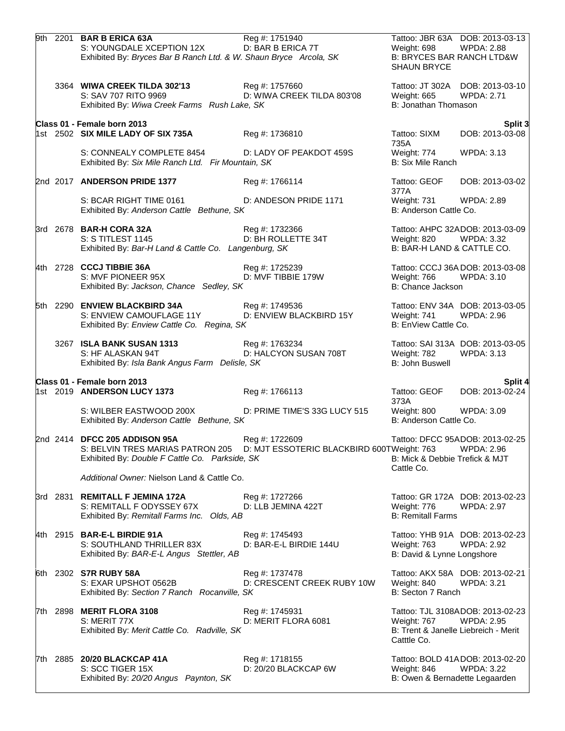|  | 9th 2201 BAR B ERICA 63A<br>S: YOUNGDALE XCEPTION 12X<br>Exhibited By: Bryces Bar B Ranch Ltd. & W. Shaun Bryce Arcola, SK                                                | Reg #: 1751940<br>D: BAR B ERICA 7T          | Weight: 698<br><b>B: BRYCES BAR RANCH LTD&amp;W</b><br><b>SHAUN BRYCE</b> | Tattoo: JBR 63A DOB: 2013-03-13<br><b>WPDA: 2.88</b>  |
|--|---------------------------------------------------------------------------------------------------------------------------------------------------------------------------|----------------------------------------------|---------------------------------------------------------------------------|-------------------------------------------------------|
|  | 3364 WIWA CREEK TILDA 302'13<br>S: SAV 707 RITO 9969<br>Exhibited By: Wiwa Creek Farms Rush Lake, SK                                                                      | Reg #: 1757660<br>D: WIWA CREEK TILDA 803'08 | Weight: 665<br>B: Jonathan Thomason                                       | Tattoo: JT 302A DOB: 2013-03-10<br><b>WPDA: 2.71</b>  |
|  | Class 01 - Female born 2013                                                                                                                                               |                                              |                                                                           | Split 3                                               |
|  | 1st 2502 <b>SIX MILE LADY OF SIX 735A</b>                                                                                                                                 | Reg #: 1736810                               | Tattoo: SIXM<br>735A                                                      | DOB: 2013-03-08                                       |
|  | S: CONNEALY COMPLETE 8454<br>Exhibited By: Six Mile Ranch Ltd. Fir Mountain, SK                                                                                           | D: LADY OF PEAKDOT 459S                      | Weight: 774<br>B: Six Mile Ranch                                          | WPDA: 3.13                                            |
|  | 2nd 2017 ANDERSON PRIDE 1377                                                                                                                                              | Reg #: 1766114                               | Tattoo: GEOF<br>377A                                                      | DOB: 2013-03-02                                       |
|  | S: BCAR RIGHT TIME 0161<br>Exhibited By: Anderson Cattle Bethune, SK                                                                                                      | D: ANDESON PRIDE 1171                        | Weight: 731 WPDA: 2.89<br>B: Anderson Cattle Co.                          |                                                       |
|  | 3rd 2678 BAR-H CORA 32A<br>S: S TITLEST 1145<br>Exhibited By: Bar-H Land & Cattle Co. Langenburg, SK                                                                      | Reg #: 1732366<br>D: BH ROLLETTE 34T         | Weight: 820 WPDA: 3.32<br>B: BAR-H LAND & CATTLE CO.                      | Tattoo: AHPC 32ADOB: 2013-03-09                       |
|  | 4th 2728 CCCJ TIBBIE 36A<br>S: MVF PIONEER 95X<br>Exhibited By: Jackson, Chance Sedley, SK                                                                                | Reg #: 1725239<br>D: MVF TIBBIE 179W         | Weight: 766 WPDA: 3.10<br>B: Chance Jackson                               | Tattoo: CCCJ 36A DOB: 2013-03-08                      |
|  | 5th 2290 ENVIEW BLACKBIRD 34A<br>S: ENVIEW CAMOUFLAGE 11Y<br>Exhibited By: Enview Cattle Co. Regina, SK                                                                   | Reg #: 1749536<br>D: ENVIEW BLACKBIRD 15Y    | Weight: 741<br>B: EnView Cattle Co.                                       | Tattoo: ENV 34A DOB: 2013-03-05<br>WPDA: 2.96         |
|  | 3267 ISLA BANK SUSAN 1313<br>S: HF ALASKAN 94T<br>Exhibited By: Isla Bank Angus Farm Delisle, SK                                                                          | Reg #: 1763234<br>D: HALCYON SUSAN 708T      | Weight: 782<br>B: John Buswell                                            | Tattoo: SAI 313A DOB: 2013-03-05<br>WPDA: 3.13        |
|  | Class 01 - Female born 2013                                                                                                                                               |                                              |                                                                           | Split 4                                               |
|  | 1st 2019 ANDERSON LUCY 1373                                                                                                                                               | Reg #: 1766113                               | Tattoo: GEOF<br>373A                                                      | DOB: 2013-02-24                                       |
|  | S: WILBER EASTWOOD 200X<br>Exhibited By: Anderson Cattle Bethune, SK                                                                                                      | D: PRIME TIME'S 33G LUCY 515                 | Weight: 800 WPDA: 3.09<br>B: Anderson Cattle Co.                          |                                                       |
|  | 2nd 2414 DFCC 205 ADDISON 95A<br>S: BELVIN TRES MARIAS PATRON 205 D: MJT ESSOTERIC BLACKBIRD 600TWeight: 763 WPDA: 2.96<br>Exhibited By: Double F Cattle Co. Parkside, SK | Reg #: 1722609                               | B: Mick & Debbie Trefick & MJT<br>Cattle Co.                              | Tattoo: DFCC 95ADOB: 2013-02-25                       |
|  | Additional Owner: Nielson Land & Cattle Co.                                                                                                                               |                                              |                                                                           |                                                       |
|  | 3rd 2831 REMITALL F JEMINA 172A<br>S: REMITALL F ODYSSEY 67X<br>Exhibited By: Remitall Farms Inc. Olds, AB                                                                | Reg #: 1727266<br>D: LLB JEMINA 422T         | Weight: 776<br><b>B: Remitall Farms</b>                                   | Tattoo: GR 172A DOB: 2013-02-23<br><b>WPDA: 2.97</b>  |
|  | 4th 2915 <b>BAR-E-L BIRDIE 91A</b><br>S: SOUTHLAND THRILLER 83X<br>Exhibited By: BAR-E-L Angus Stettler, AB                                                               | Reg #: 1745493<br>D: BAR-E-L BIRDIE 144U     | Weight: 763<br>B: David & Lynne Longshore                                 | Tattoo: YHB 91A DOB: 2013-02-23<br><b>WPDA: 2.92</b>  |
|  | 6th 2302 S7R RUBY 58A<br>S: EXAR UPSHOT 0562B<br>Exhibited By: Section 7 Ranch Rocanville, SK                                                                             | Reg #: 1737478<br>D: CRESCENT CREEK RUBY 10W | Weight: 840<br>B: Secton 7 Ranch                                          | Tattoo: AKX 58A DOB: 2013-02-21<br><b>WPDA: 3.21</b>  |
|  | 7th 2898 MERIT FLORA 3108<br>S: MERIT 77X<br>Exhibited By: Merit Cattle Co. Radville, SK                                                                                  | Reg #: 1745931<br>D: MERIT FLORA 6081        | Weight: 767<br>B: Trent & Janelle Liebreich - Merit<br>Cattle Co.         | Tattoo: TJL 3108ADOB: 2013-02-23<br><b>WPDA: 2.95</b> |
|  | 7th 2885 20/20 BLACKCAP 41A<br>S: SCC TIGER 15X<br>Exhibited By: 20/20 Angus Paynton, SK                                                                                  | Reg #: 1718155<br>D: 20/20 BLACKCAP 6W       | Weight: 846<br>B: Owen & Bernadette Legaarden                             | Tattoo: BOLD 41ADOB: 2013-02-20<br><b>WPDA: 3.22</b>  |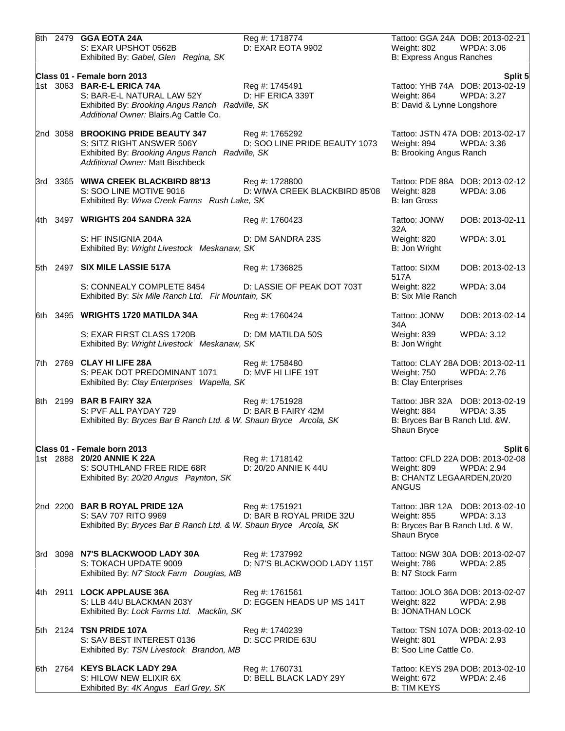|  | 8th 2479 GGA EOTA 24A<br>S: EXAR UPSHOT 0562B<br>Exhibited By: Gabel, Glen Regina, SK                                                                         | Reg #: 1718774<br>D: EXAR EOTA 9902             | Weight: 802<br>B: Express Angus Ranches                              | Tattoo: GGA 24A DOB: 2013-02-21<br><b>WPDA: 3.06</b>  |
|--|---------------------------------------------------------------------------------------------------------------------------------------------------------------|-------------------------------------------------|----------------------------------------------------------------------|-------------------------------------------------------|
|  | Class 01 - Female born 2013                                                                                                                                   |                                                 |                                                                      | Split 5                                               |
|  | 1st 3063 BAR-E-L ERICA 74A<br>S: BAR-E-L NATURAL LAW 52Y<br>Exhibited By: Brooking Angus Ranch Radville, SK<br>Additional Owner: Blairs.Ag Cattle Co.         | Reg #: 1745491<br>D: HF ERICA 339T              | Weight: 864<br>B: David & Lynne Longshore                            | Tattoo: YHB 74A DOB: 2013-02-19<br><b>WPDA: 3.27</b>  |
|  | 2nd 3058 BROOKING PRIDE BEAUTY 347<br>S: SITZ RIGHT ANSWER 506Y<br>Exhibited By: Brooking Angus Ranch Radville, SK<br><b>Additional Owner: Matt Bischbeck</b> | Reg #: 1765292<br>D: SOO LINE PRIDE BEAUTY 1073 | Weight: 894<br>B: Brooking Angus Ranch                               | Tattoo: JSTN 47A DOB: 2013-02-17<br><b>WPDA: 3.36</b> |
|  | 3rd 3365 WIWA CREEK BLACKBIRD 88'13<br>S: SOO LINE MOTIVE 9016<br>Exhibited By: Wiwa Creek Farms Rush Lake, SK                                                | Reg #: 1728800<br>D: WIWA CREEK BLACKBIRD 85'08 | Weight: 828<br>B: Ian Gross                                          | Tattoo: PDE 88A DOB: 2013-02-12<br><b>WPDA: 3.06</b>  |
|  | 4th 3497 WRIGHTS 204 SANDRA 32A                                                                                                                               | Reg #: 1760423                                  | Tattoo: JONW<br>32A                                                  | DOB: 2013-02-11                                       |
|  | S: HF INSIGNIA 204A<br>Exhibited By: Wright Livestock Meskanaw, SK                                                                                            | D: DM SANDRA 23S                                | Weight: 820<br>B: Jon Wright                                         | <b>WPDA: 3.01</b>                                     |
|  | 5th 2497 SIX MILE LASSIE 517A                                                                                                                                 | Reg #: 1736825                                  | Tattoo: SIXM<br>517A                                                 | DOB: 2013-02-13                                       |
|  | S: CONNEALY COMPLETE 8454<br>Exhibited By: Six Mile Ranch Ltd. Fir Mountain, SK                                                                               | D: LASSIE OF PEAK DOT 703T                      | Weight: 822<br>B: Six Mile Ranch                                     | <b>WPDA: 3.04</b>                                     |
|  | 6th 3495 WRIGHTS 1720 MATILDA 34A                                                                                                                             | Reg #: 1760424                                  | Tattoo: JONW<br>34A                                                  | DOB: 2013-02-14                                       |
|  | S: EXAR FIRST CLASS 1720B<br>Exhibited By: Wright Livestock Meskanaw, SK                                                                                      | D: DM MATILDA 50S                               | Weight: 839<br>B: Jon Wright                                         | <b>WPDA: 3.12</b>                                     |
|  | 7th 2769 CLAY HI LIFE 28A<br>S: PEAK DOT PREDOMINANT 1071<br>Exhibited By: Clay Enterprises Wapella, SK                                                       | Reg #: 1758480<br>D: MVF HI LIFE 19T            | Weight: 750<br><b>B: Clay Enterprises</b>                            | Tattoo: CLAY 28A DOB: 2013-02-11<br><b>WPDA: 2.76</b> |
|  | 8th 2199 BAR B FAIRY 32A<br>S: PVF ALL PAYDAY 729<br>Exhibited By: Bryces Bar B Ranch Ltd. & W. Shaun Bryce Arcola, SK                                        | Reg #: 1751928<br>D: BAR B FAIRY 42M            | Weight: 884<br>B: Bryces Bar B Ranch Ltd. &W.<br>Shaun Bryce         | Tattoo: JBR 32A DOB: 2013-02-19<br><b>WPDA: 3.35</b>  |
|  | Class 01 - Female born 2013                                                                                                                                   |                                                 |                                                                      | Split 6                                               |
|  | 1st 2888 20/20 ANNIE K 22A<br>S: SOUTHLAND FREE RIDE 68R<br>Exhibited By: 20/20 Angus Paynton, SK                                                             | Reg #: 1718142<br>D: 20/20 ANNIE K 44U          | Weight: 809<br>B: CHANTZ LEGAARDEN, 20/20<br><b>ANGUS</b>            | Tattoo: CFLD 22A DOB: 2013-02-08<br><b>WPDA: 2.94</b> |
|  | 2nd 2200 BAR B ROYAL PRIDE 12A<br>S: SAV 707 RITO 9969<br>Exhibited By: Bryces Bar B Ranch Ltd. & W. Shaun Bryce Arcola, SK                                   | Reg #: 1751921<br>D: BAR B ROYAL PRIDE 32U      | <b>Weight: 855</b><br>B: Bryces Bar B Ranch Ltd. & W.<br>Shaun Bryce | Tattoo: JBR 12A DOB: 2013-02-10<br>WPDA: 3.13         |
|  | 3rd 3098 N7'S BLACKWOOD LADY 30A<br>S: TOKACH UPDATE 9009<br>Exhibited By: N7 Stock Farm Douglas, MB                                                          | Reg #: 1737992<br>D: N7'S BLACKWOOD LADY 115T   | Weight: 786<br>B: N7 Stock Farm                                      | Tattoo: NGW 30A DOB: 2013-02-07<br><b>WPDA: 2.85</b>  |
|  | 4th 2911 LOCK APPLAUSE 36A<br>S: LLB 44U BLACKMAN 203Y<br>Exhibited By: Lock Farms Ltd. Macklin, SK                                                           | Reg #: 1761561<br>D: EGGEN HEADS UP MS 141T     | Weight: 822<br><b>B: JONATHAN LOCK</b>                               | Tattoo: JOLO 36A DOB: 2013-02-07<br>WPDA: 2.98        |
|  | 5th 2124 TSN PRIDE 107A<br>S: SAV BEST INTEREST 0136<br>Exhibited By: TSN Livestock Brandon, MB                                                               | Reg #: 1740239<br>D: SCC PRIDE 63U              | Weight: 801<br>B: Soo Line Cattle Co.                                | Tattoo: TSN 107A DOB: 2013-02-10<br>WPDA: 2.93        |
|  | 6th 2764 KEYS BLACK LADY 29A<br>S: HILOW NEW ELIXIR 6X<br>Exhibited By: 4K Angus Earl Grey, SK                                                                | Reg #: 1760731<br>D: BELL BLACK LADY 29Y        | Weight: 672<br><b>B: TIM KEYS</b>                                    | Tattoo: KEYS 29A DOB: 2013-02-10<br>WPDA: 2.46        |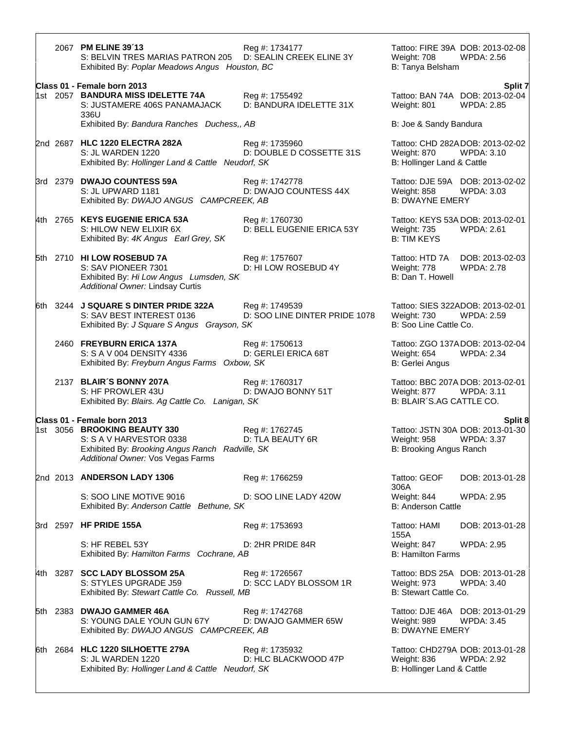|  | 2067 PM ELINE 39'13<br>S: BELVIN TRES MARIAS PATRON 205 D: SEALIN CREEK ELINE 3Y                                                                | Reg #: 1734177                                  | Weight: 708                               | Tattoo: FIRE 39A DOB: 2013-02-08<br><b>WPDA: 2.56</b> |
|--|-------------------------------------------------------------------------------------------------------------------------------------------------|-------------------------------------------------|-------------------------------------------|-------------------------------------------------------|
|  | Exhibited By: Poplar Meadows Angus Houston, BC                                                                                                  |                                                 | B: Tanya Belsham                          |                                                       |
|  | Class 01 - Female born 2013                                                                                                                     |                                                 |                                           | Split 7                                               |
|  | 1st 2057 BANDURA MISS IDELETTE 74A<br>S: JUSTAMERE 406S PANAMAJACK<br>336U                                                                      | Reg #: 1755492<br>D: BANDURA IDELETTE 31X       | Weight: 801                               | Tattoo: BAN 74A DOB: 2013-02-04<br><b>WPDA: 2.85</b>  |
|  | Exhibited By: Bandura Ranches Duchess,, AB                                                                                                      |                                                 | B: Joe & Sandy Bandura                    |                                                       |
|  | 2nd 2687 HLC 1220 ELECTRA 282A<br>S: JL WARDEN 1220<br>Exhibited By: Hollinger Land & Cattle Neudorf, SK                                        | Reg #: 1735960<br>D: DOUBLE D COSSETTE 31S      | Weight: 870<br>B: Hollinger Land & Cattle | Tattoo: CHD 282ADOB: 2013-02-02<br>WPDA: 3.10         |
|  | 3rd 2379 DWAJO COUNTESS 59A<br>S: JL UPWARD 1181<br>Exhibited By: DWAJO ANGUS CAMPCREEK, AB                                                     | Reg #: 1742778<br>D: DWAJO COUNTESS 44X         | Weight: 858<br><b>B: DWAYNE EMERY</b>     | Tattoo: DJE 59A DOB: 2013-02-02<br><b>WPDA: 3.03</b>  |
|  | 4th 2765 KEYS EUGENIE ERICA 53A<br>S: HILOW NEW ELIXIR 6X<br>Exhibited By: 4K Angus Earl Grey, SK                                               | Reg #: 1760730<br>D: BELL EUGENIE ERICA 53Y     | Weight: 735<br><b>B: TIM KEYS</b>         | Tattoo: KEYS 53A DOB: 2013-02-01<br>WPDA: 2.61        |
|  | 5th 2710 HI LOW ROSEBUD 7A<br>S: SAV PIONEER 7301<br>Exhibited By: Hi Low Angus Lumsden, SK<br>Additional Owner: Lindsay Curtis                 | Reg #: 1757607<br>D: HI LOW ROSEBUD 4Y          | Weight: 778<br>B: Dan T. Howell           | Tattoo: HTD 7A DOB: 2013-02-03<br><b>WPDA: 2.78</b>   |
|  | 6th 3244 J SQUARE S DINTER PRIDE 322A<br>S: SAV BEST INTEREST 0136<br>Exhibited By: J Square S Angus Grayson, SK                                | Reg #: 1749539<br>D: SOO LINE DINTER PRIDE 1078 | Weight: 730<br>B: Soo Line Cattle Co.     | Tattoo: SIES 322ADOB: 2013-02-01<br>WPDA: 2.59        |
|  | 2460 FREYBURN ERICA 137A<br>S: S A V 004 DENSITY 4336<br>Exhibited By: Freyburn Angus Farms Oxbow, SK                                           | Reg #: 1750613<br>D: GERLEI ERICA 68T           | Weight: 654<br>B: Gerlei Angus            | Tattoo: ZGO 137ADOB: 2013-02-04<br><b>WPDA: 2.34</b>  |
|  | 2137 BLAIR'S BONNY 207A<br>S: HF PROWLER 43U<br>Exhibited By: Blairs. Ag Cattle Co. Lanigan, SK                                                 | Reg #: 1760317<br>D: DWAJO BONNY 51T            | Weight: 877<br>B: BLAIR'S.AG CATTLE CO.   | Tattoo: BBC 207A DOB: 2013-02-01<br>WPDA: 3.11        |
|  | Class 01 - Female born 2013                                                                                                                     |                                                 |                                           | Split 8                                               |
|  | 1st 3056 BROOKING BEAUTY 330<br>S: S A V HARVESTOR 0338<br>Exhibited By: Brooking Angus Ranch Radville, SK<br>Additional Owner: Vos Vegas Farms | Reg #: 1762745<br>D: TLA BEAUTY 6R              | Weight: 958<br>B: Brooking Angus Ranch    | Tattoo: JSTN 30A DOB: 2013-01-30<br>WPDA: 3.37        |
|  | 2nd 2013 ANDERSON LADY 1306                                                                                                                     | Reg #: 1766259                                  | Tattoo: GEOF<br>306A                      | DOB: 2013-01-28                                       |
|  | S: SOO LINE MOTIVE 9016<br>Exhibited By: Anderson Cattle Bethune, SK                                                                            | D: SOO LINE LADY 420W                           | Weight: 844<br><b>B: Anderson Cattle</b>  | <b>WPDA: 2.95</b>                                     |
|  | 3rd 2597 HF PRIDE 155A                                                                                                                          | Reg #: 1753693                                  | Tattoo: HAMI<br>155A                      | DOB: 2013-01-28                                       |
|  | S: HF REBEL 53Y<br>Exhibited By: Hamilton Farms Cochrane, AB                                                                                    | D: 2HR PRIDE 84R                                | Weight: 847<br><b>B: Hamilton Farms</b>   | <b>WPDA: 2.95</b>                                     |
|  | 4th 3287 SCC LADY BLOSSOM 25A<br>S: STYLES UPGRADE J59<br>Exhibited By: Stewart Cattle Co. Russell, MB                                          | Reg #: 1726567<br>D: SCC LADY BLOSSOM 1R        | Weight: 973<br>B: Stewart Cattle Co.      | Tattoo: BDS 25A DOB: 2013-01-28<br><b>WPDA: 3.40</b>  |
|  | 5th 2383 DWAJO GAMMER 46A<br>S: YOUNG DALE YOUN GUN 67Y<br>Exhibited By: DWAJO ANGUS CAMPCREEK, AB                                              | Reg #: 1742768<br>D: DWAJO GAMMER 65W           | Weight: 989<br><b>B: DWAYNE EMERY</b>     | Tattoo: DJE 46A DOB: 2013-01-29<br><b>WPDA: 3.45</b>  |
|  | 6th 2684 HLC 1220 SILHOETTE 279A<br>S: JL WARDEN 1220<br>Exhibited By: Hollinger Land & Cattle Neudorf, SK                                      | Reg #: 1735932<br>D: HLC BLACKWOOD 47P          | Weight: 836<br>B: Hollinger Land & Cattle | Tattoo: CHD279A DOB: 2013-01-28<br><b>WPDA: 2.92</b>  |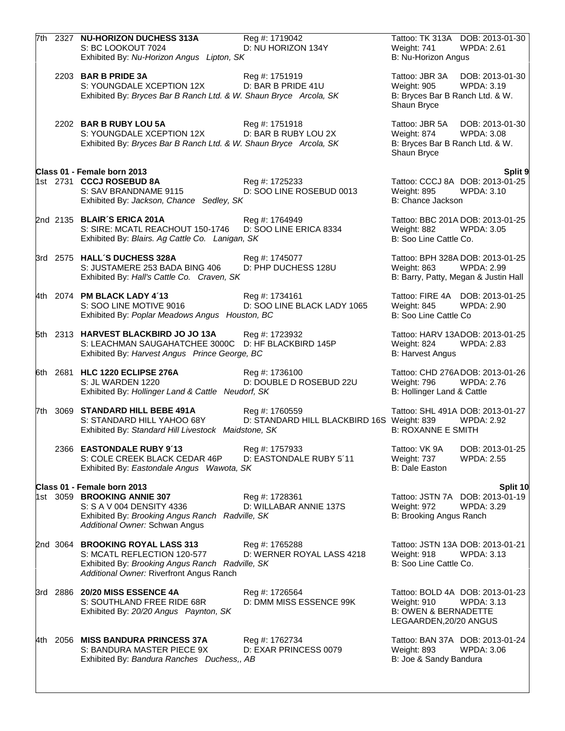|  | 7th 2327 NU-HORIZON DUCHESS 313A<br>Reg #: 1719042<br>S: BC LOOKOUT 7024<br>D: NU HORIZON 134Y<br>Exhibited By: Nu-Horizon Angus Lipton, SK                                                                   | Tattoo: TK 313A DOB: 2013-01-30<br><b>WPDA: 2.61</b><br>Weight: 741<br>B: Nu-Horizon Angus                                |
|--|---------------------------------------------------------------------------------------------------------------------------------------------------------------------------------------------------------------|---------------------------------------------------------------------------------------------------------------------------|
|  | Reg #: 1751919<br>2203 BAR B PRIDE 3A<br>S: YOUNGDALE XCEPTION 12X<br>D: BAR B PRIDE 41U<br>Exhibited By: Bryces Bar B Ranch Ltd. & W. Shaun Bryce Arcola, SK                                                 | Tattoo: JBR 3A<br>DOB: 2013-01-30<br>Weight: 905<br><b>WPDA: 3.19</b><br>B: Bryces Bar B Ranch Ltd. & W.<br>Shaun Bryce   |
|  | 2202 BAR B RUBY LOU 5A<br>Reg #: 1751918<br>D: BAR B RUBY LOU 2X<br>S: YOUNGDALE XCEPTION 12X<br>Exhibited By: Bryces Bar B Ranch Ltd. & W. Shaun Bryce Arcola, SK                                            | Tattoo: JBR 5A DOB: 2013-01-30<br><b>WPDA: 3.08</b><br>Weight: 874<br>B: Bryces Bar B Ranch Ltd. & W.<br>Shaun Bryce      |
|  | Class 01 - Female born 2013                                                                                                                                                                                   | Split 9                                                                                                                   |
|  | 1st 2731 CCCJ ROSEBUD 8A<br>Reg #: 1725233<br>D: SOO LINE ROSEBUD 0013<br>S: SAV BRANDNAME 9115<br>Exhibited By: Jackson, Chance Sedley, SK                                                                   | Tattoo: CCCJ 8A DOB: 2013-01-25<br>Weight: 895<br><b>WPDA: 3.10</b><br>B: Chance Jackson                                  |
|  | 2nd 2135 BLAIR'S ERICA 201A<br>Reg #: 1764949<br>S: SIRE: MCATL REACHOUT 150-1746<br>D: SOO LINE ERICA 8334<br>Exhibited By: Blairs. Ag Cattle Co. Lanigan, SK                                                | Tattoo: BBC 201A DOB: 2013-01-25<br><b>WPDA: 3.05</b><br>Weight: 882<br>B: Soo Line Cattle Co.                            |
|  | 3rd 2575 HALL'S DUCHESS 328A<br>Reg #: 1745077<br>D: PHP DUCHESS 128U<br>S: JUSTAMERE 253 BADA BING 406<br>Exhibited By: Hall's Cattle Co. Craven, SK                                                         | Tattoo: BPH 328A DOB: 2013-01-25<br><b>WPDA: 2.99</b><br>Weight: 863<br>B: Barry, Patty, Megan & Justin Hall              |
|  | 4th 2074 PM BLACK LADY 4'13<br>Reg #: 1734161<br>S: SOO LINE MOTIVE 9016<br>D: SOO LINE BLACK LADY 1065<br>Exhibited By: Poplar Meadows Angus Houston, BC                                                     | Tattoo: FIRE 4A DOB: 2013-01-25<br><b>WPDA: 2.90</b><br>Weight: 845<br>B: Soo Line Cattle Co                              |
|  | 5th 2313 HARVEST BLACKBIRD JO JO 13A<br>Reg #: 1723932<br>S: LEACHMAN SAUGAHATCHEE 3000C<br>D: HF BLACKBIRD 145P<br>Exhibited By: Harvest Angus Prince George, BC                                             | Tattoo: HARV 13ADOB: 2013-01-25<br>Weight: 824<br><b>WPDA: 2.83</b><br><b>B: Harvest Angus</b>                            |
|  | 6th 2681 HLC 1220 ECLIPSE 276A<br>Reg #: 1736100<br>D: DOUBLE D ROSEBUD 22U<br>S: JL WARDEN 1220<br>Exhibited By: Hollinger Land & Cattle Neudorf, SK                                                         | Tattoo: CHD 276ADOB: 2013-01-26<br>Weight: 796<br><b>WPDA: 2.76</b><br>B: Hollinger Land & Cattle                         |
|  | 7th 3069 STANDARD HILL BEBE 491A<br>Reg #: 1760559<br>D: STANDARD HILL BLACKBIRD 16S Weight: 839<br>S: STANDARD HILL YAHOO 68Y<br>Exhibited By: Standard Hill Livestock Maidstone, SK                         | Tattoo: SHL 491A DOB: 2013-01-27<br><b>WPDA: 2.92</b><br><b>B: ROXANNE E SMITH</b>                                        |
|  | 2366 EASTONDALE RUBY 9'13<br>Reg #: 1757933<br>D: EASTONDALE RUBY 5'11<br>S: COLE CREEK BLACK CEDAR 46P<br>Exhibited By: Eastondale Angus Wawota, SK                                                          | Tattoo: VK 9A<br>DOB: 2013-01-25<br>Weight: 737<br><b>WPDA: 2.55</b><br><b>B: Dale Easton</b>                             |
|  | Class 01 - Female born 2013                                                                                                                                                                                   | Split 10                                                                                                                  |
|  | 1st 3059 BROOKING ANNIE 307<br>Reg #: 1728361<br>S: S A V 004 DENSITY 4336<br>D: WILLABAR ANNIE 137S<br>Exhibited By: Brooking Angus Ranch Radville, SK<br>Additional Owner: Schwan Angus                     | Tattoo: JSTN 7A DOB: 2013-01-19<br>Weight: 972<br><b>WPDA: 3.29</b><br>B: Brooking Angus Ranch                            |
|  | 2nd 3064 BROOKING ROYAL LASS 313<br>Reg #: 1765288<br>S: MCATL REFLECTION 120-577<br>D: WERNER ROYAL LASS 4218<br>Exhibited By: Brooking Angus Ranch Radville, SK<br>Additional Owner: Riverfront Angus Ranch | Tattoo: JSTN 13A DOB: 2013-01-21<br>Weight: 918<br>WPDA: 3.13<br>B: Soo Line Cattle Co.                                   |
|  | 3rd 2886 20/20 MISS ESSENCE 4A<br>Reg #: 1726564<br>S: SOUTHLAND FREE RIDE 68R<br>D: DMM MISS ESSENCE 99K<br>Exhibited By: 20/20 Angus Paynton, SK                                                            | Tattoo: BOLD 4A DOB: 2013-01-23<br>Weight: 910<br>WPDA: 3.13<br><b>B: OWEN &amp; BERNADETTE</b><br>LEGAARDEN, 20/20 ANGUS |
|  | 4th 2056 MISS BANDURA PRINCESS 37A<br>Reg #: 1762734<br>S: BANDURA MASTER PIECE 9X<br>D: EXAR PRINCESS 0079<br>Exhibited By: Bandura Ranches Duchess,, AB                                                     | Tattoo: BAN 37A DOB: 2013-01-24<br>Weight: 893<br><b>WPDA: 3.06</b><br>B: Joe & Sandy Bandura                             |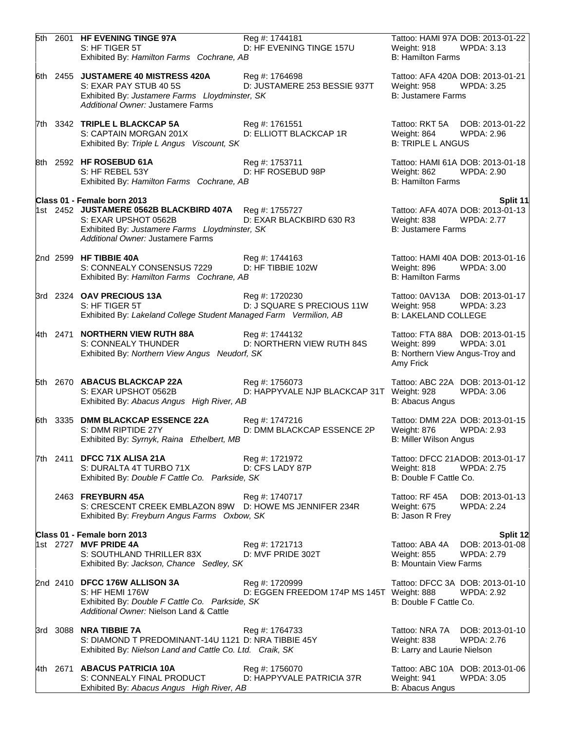|  | 5th 2601 HF EVENING TINGE 97A                                                                                   | Reg #: 1744181                              | Tattoo: HAMI 97A DOB: 2013-01-22                                             |
|--|-----------------------------------------------------------------------------------------------------------------|---------------------------------------------|------------------------------------------------------------------------------|
|  | S: HF TIGER 5T<br>Exhibited By: Hamilton Farms Cochrane, AB                                                     | D: HF EVENING TINGE 157U                    | Weight: 918<br><b>WPDA: 3.13</b><br><b>B: Hamilton Farms</b>                 |
|  | 6th 2455 JUSTAMERE 40 MISTRESS 420A                                                                             | Reg #: 1764698                              | Tattoo: AFA 420A DOB: 2013-01-21                                             |
|  | S: EXAR PAY STUB 40 5S                                                                                          | D: JUSTAMERE 253 BESSIE 937T                | <b>WPDA: 3.25</b><br>Weight: 958                                             |
|  | Exhibited By: Justamere Farms Lloydminster, SK<br>Additional Owner: Justamere Farms                             |                                             | <b>B: Justamere Farms</b>                                                    |
|  | 7th 3342 TRIPLE L BLACKCAP 5A                                                                                   | Reg #: 1761551                              | Tattoo: RKT 5A DOB: 2013-01-22                                               |
|  | S: CAPTAIN MORGAN 201X<br>Exhibited By: Triple L Angus Viscount, SK                                             | D: ELLIOTT BLACKCAP 1R                      | Weight: 864<br><b>WPDA: 2.96</b><br><b>B: TRIPLE L ANGUS</b>                 |
|  | 8th 2592 HF ROSEBUD 61A                                                                                         | Reg #: 1753711                              | Tattoo: HAMI 61A DOB: 2013-01-18                                             |
|  | S: HF REBEL 53Y                                                                                                 | D: HF ROSEBUD 98P                           | <b>WPDA: 2.90</b><br>Weight: 862<br><b>B: Hamilton Farms</b>                 |
|  | Exhibited By: Hamilton Farms Cochrane, AB                                                                       |                                             |                                                                              |
|  | Class 01 - Female born 2013<br>1st 2452 JUSTAMERE 0562B BLACKBIRD 407A Reg #: 1755727                           |                                             | Split 11<br>Tattoo: AFA 407A DOB: 2013-01-13                                 |
|  | S: EXAR UPSHOT 0562B                                                                                            | D: EXAR BLACKBIRD 630 R3                    | Weight: 838<br><b>WPDA: 2.77</b>                                             |
|  | Exhibited By: Justamere Farms Lloydminster, SK<br>Additional Owner: Justamere Farms                             |                                             | <b>B: Justamere Farms</b>                                                    |
|  | 2nd 2599 HF TIBBIE 40A                                                                                          | Reg #: 1744163                              | Tattoo: HAMI 40A DOB: 2013-01-16                                             |
|  | S: CONNEALY CONSENSUS 7229<br>Exhibited By: Hamilton Farms Cochrane, AB                                         | D: HF TIBBIE 102W                           | Weight: 896<br><b>WPDA: 3.00</b><br><b>B: Hamilton Farms</b>                 |
|  | 3rd 2324 OAV PRECIOUS 13A                                                                                       | Reg #: 1720230                              | Tattoo: 0AV13A DOB: 2013-01-17                                               |
|  | S: HF TIGER 5T<br>Exhibited By: Lakeland College Student Managed Farm Vermilion, AB                             | D: J SQUARE S PRECIOUS 11W                  | Weight: 958<br><b>WPDA: 3.23</b><br><b>B: LAKELAND COLLEGE</b>               |
|  | 4th 2471 NORTHERN VIEW RUTH 88A                                                                                 | Reg #: 1744132                              | Tattoo: FTA 88A DOB: 2013-01-15                                              |
|  | S: CONNEALY THUNDER<br>Exhibited By: Northern View Angus Neudorf, SK                                            | D: NORTHERN VIEW RUTH 84S                   | <b>WPDA: 3.01</b><br>Weight: 899<br>B: Northern View Angus-Troy and          |
|  |                                                                                                                 |                                             | Amy Frick                                                                    |
|  | 5th 2670 ABACUS BLACKCAP 22A                                                                                    | Reg #: 1756073                              | Tattoo: ABC 22A DOB: 2013-01-12                                              |
|  | S: EXAR UPSHOT 0562B<br>Exhibited By: Abacus Angus High River, AB                                               | D: HAPPYVALE NJP BLACKCAP 31T Weight: 928   | WPDA: 3.06<br>B: Abacus Angus                                                |
|  | 6th 3335 DMM BLACKCAP ESSENCE 22A                                                                               | Reg #: 1747216                              | Tattoo: DMM 22A DOB: 2013-01-15                                              |
|  | S: DMM RIPTIDE 27Y<br>Exhibited By: Syrnyk, Raina Ethelbert, MB                                                 | D: DMM BLACKCAP ESSENCE 2P                  | Weight: 876<br><b>WPDA: 2.93</b><br><b>B: Miller Wilson Angus</b>            |
|  | 7th 2411 DFCC 71X ALISA 21A                                                                                     | Reg #: 1721972                              | Tattoo: DFCC 21ADOB: 2013-01-17                                              |
|  | S: DURALTA 4T TURBO 71X<br>Exhibited By: Double F Cattle Co. Parkside, SK                                       | D: CFS LADY 87P                             | <b>WPDA: 2.75</b><br>Weight: 818<br>B: Double F Cattle Co.                   |
|  | 2463 FREYBURN 45A                                                                                               | Reg #: 1740717                              | Tattoo: RF 45A<br>DOB: 2013-01-13                                            |
|  | S: CRESCENT CREEK EMBLAZON 89W D: HOWE MS JENNIFER 234R<br>Exhibited By: Freyburn Angus Farms Oxbow, SK         |                                             | <b>WPDA: 2.24</b><br>Weight: 675<br>B: Jason R Frey                          |
|  | Class 01 - Female born 2013                                                                                     |                                             | Split 12                                                                     |
|  | 1st 2727 MVF PRIDE 4A<br>S: SOUTHLAND THRILLER 83X                                                              | Reg #: 1721713<br>D: MVF PRIDE 302T         | Tattoo: ABA 4A<br>DOB: 2013-01-08<br><b>WPDA: 2.79</b><br><b>Weight: 855</b> |
|  | Exhibited By: Jackson, Chance Sedley, SK                                                                        |                                             | <b>B: Mountain View Farms</b>                                                |
|  | 2nd 2410 DFCC 176W ALLISON 3A                                                                                   | Reg #: 1720999                              | Tattoo: DFCC 3A DOB: 2013-01-10                                              |
|  | S: HF HEMI 176W<br>Exhibited By: Double F Cattle Co. Parkside, SK                                               | D: EGGEN FREEDOM 174P MS 145T Weight: 888   | <b>WPDA: 2.92</b><br>B: Double F Cattle Co.                                  |
|  | Additional Owner: Nielson Land & Cattle                                                                         |                                             |                                                                              |
|  | 3rd 3088 NRA TIBBIE 7A                                                                                          | Reg #: 1764733                              | Tattoo: NRA 7A<br>DOB: 2013-01-10                                            |
|  | S: DIAMOND T PREDOMINANT-14U 1121 D: NRA TIBBIE 45Y<br>Exhibited By: Nielson Land and Cattle Co. Ltd. Craik, SK |                                             | <b>WPDA: 2.76</b><br>Weight: 838<br>B: Larry and Laurie Nielson              |
|  |                                                                                                                 |                                             |                                                                              |
|  | 4th 2671 ABACUS PATRICIA 10A<br>S: CONNEALY FINAL PRODUCT                                                       | Reg #: 1756070<br>D: HAPPYVALE PATRICIA 37R | Tattoo: ABC 10A DOB: 2013-01-06<br><b>WPDA: 3.05</b><br>Weight: 941          |
|  | Exhibited By: Abacus Angus High River, AB                                                                       |                                             | B: Abacus Angus                                                              |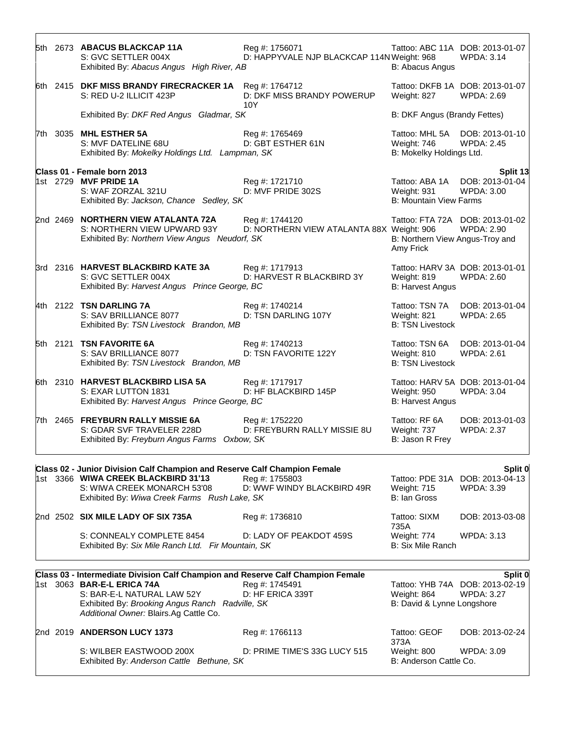|  | 5th 2673 ABACUS BLACKCAP 11A<br>S: GVC SETTLER 004X<br>Exhibited By: Abacus Angus High River, AB                                                                                                                                         | Reg #: 1756071<br>D: HAPPYVALE NJP BLACKCAP 114N Weight: 968 | B: Abacus Angus                                                | Tattoo: ABC 11A DOB: 2013-01-07<br><b>WPDA: 3.14</b>            |
|--|------------------------------------------------------------------------------------------------------------------------------------------------------------------------------------------------------------------------------------------|--------------------------------------------------------------|----------------------------------------------------------------|-----------------------------------------------------------------|
|  | 6th 2415 DKF MISS BRANDY FIRECRACKER 1A<br>S: RED U-2 ILLICIT 423P                                                                                                                                                                       | Reg #: 1764712<br>D: DKF MISS BRANDY POWERUP<br>10Y          | Weight: 827                                                    | Tattoo: DKFB 1A DOB: 2013-01-07<br><b>WPDA: 2.69</b>            |
|  | Exhibited By: DKF Red Angus Gladmar, SK                                                                                                                                                                                                  |                                                              | B: DKF Angus (Brandy Fettes)                                   |                                                                 |
|  | 7th 3035 MHL ESTHER 5A<br>S: MVF DATELINE 68U<br>Exhibited By: Mokelky Holdings Ltd. Lampman, SK                                                                                                                                         | Reg #: 1765469<br>D: GBT ESTHER 61N                          | Weight: 746<br>B: Mokelky Holdings Ltd.                        | Tattoo: MHL 5A DOB: 2013-01-10<br><b>WPDA: 2.45</b>             |
|  | Class 01 - Female born 2013<br>1st 2729 MVF PRIDE 1A<br>S: WAF ZORZAL 321U<br>Exhibited By: Jackson, Chance Sedley, SK                                                                                                                   | Reg #: 1721710<br>D: MVF PRIDE 302S                          | Tattoo: ABA 1A<br>Weight: 931<br><b>B: Mountain View Farms</b> | Split 13<br>DOB: 2013-01-04<br><b>WPDA: 3.00</b>                |
|  | 2nd 2469 NORTHERN VIEW ATALANTA 72A<br>S: NORTHERN VIEW UPWARD 93Y<br>Exhibited By: Northern View Angus Neudorf, SK                                                                                                                      | Reg #: 1744120<br>D: NORTHERN VIEW ATALANTA 88X Weight: 906  | B: Northern View Angus-Troy and<br>Amy Frick                   | Tattoo: FTA 72A DOB: 2013-01-02<br><b>WPDA: 2.90</b>            |
|  | 3rd 2316 HARVEST BLACKBIRD KATE 3A<br>S: GVC SETTLER 004X<br>Exhibited By: Harvest Angus Prince George, BC                                                                                                                               | Reg #: 1717913<br>D: HARVEST R BLACKBIRD 3Y                  | Weight: 819<br><b>B: Harvest Angus</b>                         | Tattoo: HARV 3A DOB: 2013-01-01<br><b>WPDA: 2.60</b>            |
|  | 4th 2122 TSN DARLING 7A<br>S: SAV BRILLIANCE 8077<br>Exhibited By: TSN Livestock Brandon, MB                                                                                                                                             | Reg #: 1740214<br>D: TSN DARLING 107Y                        | Tattoo: TSN 7A<br>Weight: 821<br><b>B: TSN Livestock</b>       | DOB: 2013-01-04<br><b>WPDA: 2.65</b>                            |
|  | 5th 2121 TSN FAVORITE 6A<br>S: SAV BRILLIANCE 8077<br>Exhibited By: TSN Livestock Brandon, MB                                                                                                                                            | Reg #: 1740213<br>D: TSN FAVORITE 122Y                       | Tattoo: TSN 6A<br>Weight: 810<br><b>B: TSN Livestock</b>       | DOB: 2013-01-04<br><b>WPDA: 2.61</b>                            |
|  | 6th 2310 HARVEST BLACKBIRD LISA 5A<br>S: EXAR LUTTON 1831<br>Exhibited By: Harvest Angus Prince George, BC                                                                                                                               | Reg #: 1717917<br>D: HF BLACKBIRD 145P                       | <b>Weight: 950</b><br><b>B: Harvest Angus</b>                  | Tattoo: HARV 5A DOB: 2013-01-04<br><b>WPDA: 3.04</b>            |
|  | 7th 2465 FREYBURN RALLY MISSIE 6A<br>S: GDAR SVF TRAVELER 228D<br>Exhibited By: Freyburn Angus Farms Oxbow, SK                                                                                                                           | Reg #: 1752220<br>D: FREYBURN RALLY MISSIE 8U                | Tattoo: RF 6A<br>Weight: 737<br>B: Jason R Frey                | DOB: 2013-01-03<br><b>WPDA: 2.37</b>                            |
|  | Class 02 - Junior Division Calf Champion and Reserve Calf Champion Female                                                                                                                                                                |                                                              |                                                                | Split 0                                                         |
|  | 1st 3366 WIWA CREEK BLACKBIRD 31'13<br>S: WIWA CREEK MONARCH 53'08<br>Exhibited By: Wiwa Creek Farms Rush Lake, SK                                                                                                                       | Reg #: 1755803<br>D: WWF WINDY BLACKBIRD 49R                 | Weight: 715<br>B: Ian Gross                                    | Tattoo: PDE 31A DOB: 2013-04-13<br><b>WPDA: 3.39</b>            |
|  | 2nd 2502 SIX MILE LADY OF SIX 735A                                                                                                                                                                                                       | Reg #: 1736810                                               | Tattoo: SIXM<br>735A                                           | DOB: 2013-03-08                                                 |
|  | S: CONNEALY COMPLETE 8454<br>Exhibited By: Six Mile Ranch Ltd. Fir Mountain, SK                                                                                                                                                          | D: LADY OF PEAKDOT 459S                                      | Weight: 774<br><b>B: Six Mile Ranch</b>                        | <b>WPDA: 3.13</b>                                               |
|  |                                                                                                                                                                                                                                          |                                                              |                                                                |                                                                 |
|  | Class 03 - Intermediate Division Calf Champion and Reserve Calf Champion Female<br>1st 3063 BAR-E-L ERICA 74A<br>S: BAR-E-L NATURAL LAW 52Y<br>Exhibited By: Brooking Angus Ranch Radville, SK<br>Additional Owner: Blairs.Ag Cattle Co. | Reg #: 1745491<br>D: HF ERICA 339T                           | Weight: 864<br>B: David & Lynne Longshore                      | Split 0<br>Tattoo: YHB 74A DOB: 2013-02-19<br><b>WPDA: 3.27</b> |
|  | 2nd 2019 ANDERSON LUCY 1373                                                                                                                                                                                                              | Reg #: 1766113                                               | Tattoo: GEOF<br>373A                                           | DOB: 2013-02-24                                                 |
|  | S: WILBER EASTWOOD 200X<br>Exhibited By: Anderson Cattle Bethune, SK                                                                                                                                                                     | D: PRIME TIME'S 33G LUCY 515                                 | Weight: 800<br>B: Anderson Cattle Co.                          | <b>WPDA: 3.09</b>                                               |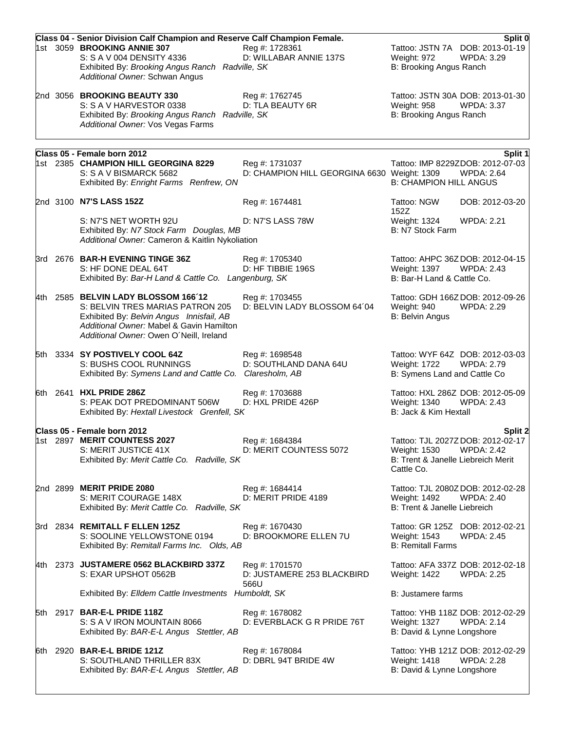|  | Class 04 - Senior Division Calf Champion and Reserve Calf Champion Female.                                                                                                                                 |                                                               |                                                                                | Split 0                                                          |
|--|------------------------------------------------------------------------------------------------------------------------------------------------------------------------------------------------------------|---------------------------------------------------------------|--------------------------------------------------------------------------------|------------------------------------------------------------------|
|  | 1st 3059 BROOKING ANNIE 307<br>S: S A V 004 DENSITY 4336<br>Exhibited By: Brooking Angus Ranch Radville, SK<br>Additional Owner: Schwan Angus                                                              | Reg #: 1728361<br>D: WILLABAR ANNIE 137S                      | Weight: 972<br>B: Brooking Angus Ranch                                         | Tattoo: JSTN 7A DOB: 2013-01-19<br><b>WPDA: 3.29</b>             |
|  | 2nd 3056 BROOKING BEAUTY 330<br>S: S A V HARVESTOR 0338<br>Exhibited By: Brooking Angus Ranch Radville, SK<br>Additional Owner: Vos Vegas Farms                                                            | Reg #: 1762745<br>D: TLA BEAUTY 6R                            | Weight: 958<br>B: Brooking Angus Ranch                                         | Tattoo: JSTN 30A DOB: 2013-01-30<br><b>WPDA: 3.37</b>            |
|  |                                                                                                                                                                                                            |                                                               |                                                                                |                                                                  |
|  | Class 05 - Female born 2012<br>1st 2385 CHAMPION HILL GEORGINA 8229<br>S: S A V BISMARCK 5682<br>Exhibited By: Enright Farms Renfrew, ON                                                                   | Reg #: 1731037<br>D: CHAMPION HILL GEORGINA 6630 Weight: 1309 | <b>B: CHAMPION HILL ANGUS</b>                                                  | Split 1<br>Tattoo: IMP 8229ZDOB: 2012-07-03<br><b>WPDA: 2.64</b> |
|  | 2nd 3100 N7'S LASS 152Z                                                                                                                                                                                    | Reg #: 1674481                                                | Tattoo: NGW<br>152Z                                                            | DOB: 2012-03-20                                                  |
|  | S: N7'S NET WORTH 92U<br>Exhibited By: N7 Stock Farm Douglas, MB<br>Additional Owner: Cameron & Kaitlin Nykoliation                                                                                        | <b>D: N7'S LASS 78W</b>                                       | Weight: 1324<br>B: N7 Stock Farm                                               | <b>WPDA: 2.21</b>                                                |
|  | 3rd 2676 BAR-H EVENING TINGE 36Z<br>S: HF DONE DEAL 64T<br>Exhibited By: Bar-H Land & Cattle Co. Langenburg, SK                                                                                            | Reg #: 1705340<br>D: HF TIBBIE 196S                           | Weight: 1397<br>B: Bar-H Land & Cattle Co.                                     | Tattoo: AHPC 36ZDOB: 2012-04-15<br><b>WPDA: 2.43</b>             |
|  | 4th 2585 BELVIN LADY BLOSSOM 166'12<br>S: BELVIN TRES MARIAS PATRON 205<br>Exhibited By: Belvin Angus Innisfail, AB<br>Additional Owner: Mabel & Gavin Hamilton<br>Additional Owner: Owen O'Neill, Ireland | Reg #: 1703455<br>D: BELVIN LADY BLOSSOM 64'04                | Weight: 940<br><b>B: Belvin Angus</b>                                          | Tattoo: GDH 166Z DOB: 2012-09-26<br><b>WPDA: 2.29</b>            |
|  | 5th 3334 SY POSTIVELY COOL 64Z<br>S: BUSHS COOL RUNNINGS<br>Exhibited By: Symens Land and Cattle Co. Claresholm, AB                                                                                        | Reg #: 1698548<br>D: SOUTHLAND DANA 64U                       | Weight: 1722<br>B: Symens Land and Cattle Co                                   | Tattoo: WYF 64Z DOB: 2012-03-03<br><b>WPDA: 2.79</b>             |
|  | 6th 2641 HXL PRIDE 286Z<br>S: PEAK DOT PREDOMINANT 506W<br>Exhibited By: Hextall Livestock Grenfell, SK                                                                                                    | Reg #: 1703688<br>D: HXL PRIDE 426P                           | Tattoo: HXL 286Z DOB: 2012-05-09<br>Weight: 1340<br>B: Jack & Kim Hextall      | <b>WPDA: 2.43</b>                                                |
|  | Class 05 - Female born 2012<br>1st 2897 MERIT COUNTESS 2027<br>S: MERIT JUSTICE 41X<br>Exhibited By: Merit Cattle Co. Radville, SK                                                                         | Reg #: 1684384<br>D: MERIT COUNTESS 5072                      | Weight: 1530<br>B: Trent & Janelle Liebreich Merit<br>Cattle Co.               | Split 2<br>Tattoo: TJL 2027Z DOB: 2012-02-17<br>WPDA: 2.42       |
|  | 2nd 2899 MERIT PRIDE 2080<br>S: MERIT COURAGE 148X<br>Exhibited By: Merit Cattle Co. Radville, SK                                                                                                          | Reg #: 1684414<br>D: MERIT PRIDE 4189                         | Weight: 1492<br>B: Trent & Janelle Liebreich                                   | Tattoo: TJL 2080Z DOB: 2012-02-28<br><b>WPDA: 2.40</b>           |
|  | 3rd 2834 REMITALL F ELLEN 125Z<br>S: SOOLINE YELLOWSTONE 0194<br>Exhibited By: Remitall Farms Inc. Olds, AB                                                                                                | Reg #: 1670430<br>D: BROOKMORE ELLEN 7U                       | Weight: 1543<br><b>B: Remitall Farms</b>                                       | Tattoo: GR 125Z DOB: 2012-02-21<br><b>WPDA: 2.45</b>             |
|  | 4th 2373 JUSTAMERE 0562 BLACKBIRD 337Z<br>S: EXAR UPSHOT 0562B                                                                                                                                             | Reg #: 1701570<br>D: JUSTAMERE 253 BLACKBIRD<br>566U          | <b>Weight: 1422</b>                                                            | Tattoo: AFA 337Z DOB: 2012-02-18<br><b>WPDA: 2.25</b>            |
|  | Exhibited By: Elldem Cattle Investments Humboldt, SK                                                                                                                                                       |                                                               | B: Justamere farms                                                             |                                                                  |
|  | 5th 2917 BAR-E-L PRIDE 118Z<br>S: S A V IRON MOUNTAIN 8066<br>Exhibited By: BAR-E-L Angus Stettler, AB                                                                                                     | Reg #: 1678082<br>D: EVERBLACK G R PRIDE 76T                  | Tattoo: YHB 118Z DOB: 2012-02-29<br>Weight: 1327<br>B: David & Lynne Longshore | <b>WPDA: 2.14</b>                                                |
|  | 6th 2920 BAR-E-L BRIDE 121Z<br>S: SOUTHLAND THRILLER 83X<br>Exhibited By: BAR-E-L Angus Stettler, AB                                                                                                       | Reg #: 1678084<br>D: DBRL 94T BRIDE 4W                        | Tattoo: YHB 121Z DOB: 2012-02-29<br>Weight: 1418<br>B: David & Lynne Longshore | <b>WPDA: 2.28</b>                                                |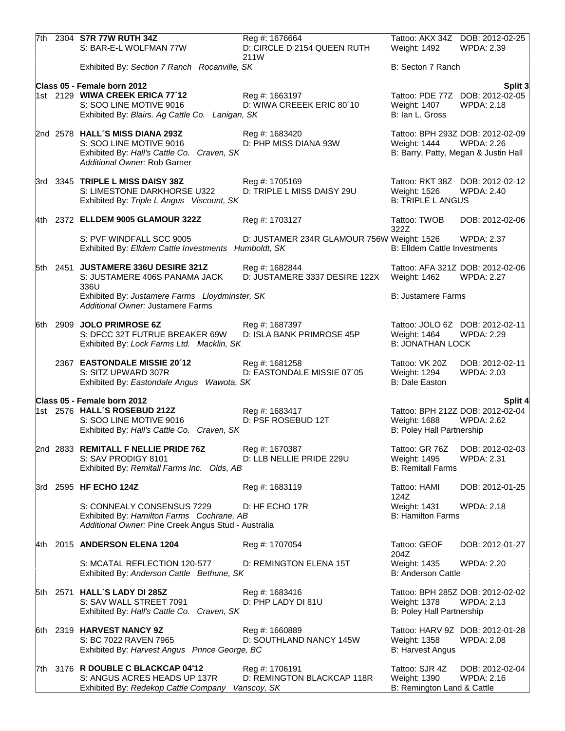|  | 7th 2304 S7R 77W RUTH 34Z<br>S: BAR-E-L WOLFMAN 77W                                                                                      | Reg #: 1676664<br>D: CIRCLE D 2154 QUEEN RUTH<br>211W       | Weight: 1492                                                 | Tattoo: AKX 34Z DOB: 2012-02-25<br><b>WPDA: 2.39</b>  |
|--|------------------------------------------------------------------------------------------------------------------------------------------|-------------------------------------------------------------|--------------------------------------------------------------|-------------------------------------------------------|
|  | Exhibited By: Section 7 Ranch Rocanville, SK                                                                                             |                                                             | B: Secton 7 Ranch                                            |                                                       |
|  | Class 05 - Female born 2012                                                                                                              |                                                             |                                                              | Split 3                                               |
|  | 1st 2129 WIWA CREEK ERICA 77'12<br>S: SOO LINE MOTIVE 9016<br>Exhibited By: Blairs. Ag Cattle Co. Lanigan, SK                            | Reg #: 1663197<br>D: WIWA CREEEK ERIC 80'10                 | Weight: 1407<br>B: Ian L. Gross                              | Tattoo: PDE 77Z DOB: 2012-02-05<br><b>WPDA: 2.18</b>  |
|  | 2nd 2578 HALL'S MISS DIANA 293Z<br>S: SOO LINE MOTIVE 9016<br>Exhibited By: Hall's Cattle Co. Craven, SK<br>Additional Owner: Rob Garner | Reg #: 1683420<br>D: PHP MISS DIANA 93W                     | Weight: 1444<br>B: Barry, Patty, Megan & Justin Hall         | Tattoo: BPH 293Z DOB: 2012-02-09<br><b>WPDA: 2.26</b> |
|  | 3rd 3345 TRIPLE L MISS DAISY 38Z<br>S: LIMESTONE DARKHORSE U322<br>Exhibited By: Triple L Angus Viscount, SK                             | Reg #: 1705169<br>D: TRIPLE L MISS DAISY 29U                | Weight: 1526<br><b>B: TRIPLE L ANGUS</b>                     | Tattoo: RKT 38Z DOB: 2012-02-12<br><b>WPDA: 2.40</b>  |
|  | 4th 2372 ELLDEM 9005 GLAMOUR 322Z                                                                                                        | Reg #: 1703127                                              | Tattoo: TWOB<br>322Z                                         | DOB: 2012-02-06                                       |
|  | S: PVF WINDFALL SCC 9005<br>Exhibited By: Elldem Cattle Investments Humboldt, SK                                                         | D: JUSTAMER 234R GLAMOUR 756W Weight: 1526                  | <b>B: Elldem Cattle Investments</b>                          | <b>WPDA: 2.37</b>                                     |
|  | 5th 2451 JUSTAMERE 336U DESIRE 321Z<br>S: JUSTAMERE 406S PANAMA JACK<br>336U                                                             | Reg #: 1682844<br>D: JUSTAMERE 3337 DESIRE 122X             | Weight: 1462                                                 | Tattoo: AFA 321Z DOB: 2012-02-06<br><b>WPDA: 2.27</b> |
|  | Exhibited By: Justamere Farms Lloydminster, SK<br>Additional Owner: Justamere Farms                                                      |                                                             | <b>B: Justamere Farms</b>                                    |                                                       |
|  | 6th 2909 JOLO PRIMROSE 6Z<br>S: DFCC 32T FUTRUE BREAKER 69W<br>Exhibited By: Lock Farms Ltd. Macklin, SK                                 | Reg #: 1687397<br>D: ISLA BANK PRIMROSE 45P                 | Weight: 1464<br><b>B: JONATHAN LOCK</b>                      | Tattoo: JOLO 6Z DOB: 2012-02-11<br><b>WPDA: 2.29</b>  |
|  | 2367 EASTONDALE MISSIE 20'12<br>S: SITZ UPWARD 307R<br>Exhibited By: Eastondale Angus Wawota, SK                                         | Reg #: 1681258<br>D: EASTONDALE MISSIE 07'05                | Tattoo: VK 20Z<br>Weight: 1294<br>B: Dale Easton             | DOB: 2012-02-11<br>WPDA: 2.03                         |
|  | Class 05 - Female born 2012                                                                                                              |                                                             |                                                              | Split 4                                               |
|  | 1st 2576 HALL'S ROSEBUD 212Z<br>S: SOO LINE MOTIVE 9016<br>Exhibited By: Hall's Cattle Co. Craven, SK                                    | Reg #: 1683417<br>D: PSF ROSEBUD 12T                        | Weight: 1688<br>B: Poley Hall Partnership                    | Tattoo: BPH 212Z DOB: 2012-02-04<br><b>WPDA: 2.62</b> |
|  | 2nd 2833 REMITALL F NELLIE PRIDE 76Z<br>S: SAV PRODIGY 8101<br>Exhibited By: Remitall Farms Inc. Olds, AB                                | Reg #: 1670387<br>D: LLB NELLIE PRIDE 229U                  | Weight: 1495<br><b>B: Remitall Farms</b>                     | Tattoo: GR 76Z DOB: 2012-02-03<br><b>WPDA: 2.31</b>   |
|  | 3rd 2595 HF ECHO 124Z                                                                                                                    | Reg #: 1683119                                              | Tattoo: HAMI<br>124Z                                         | DOB: 2012-01-25                                       |
|  | S: CONNEALY CONSENSUS 7229<br>Exhibited By: Hamilton Farms Cochrane, AB<br>Additional Owner: Pine Creek Angus Stud - Australia           | D: HF ECHO 17R                                              | Weight: 1431<br><b>B: Hamilton Farms</b>                     | <b>WPDA: 2.18</b>                                     |
|  | 4th 2015 ANDERSON ELENA 1204                                                                                                             | Reg #: 1707054                                              | Tattoo: GEOF<br>204Z                                         | DOB: 2012-01-27                                       |
|  | S: MCATAL REFLECTION 120-577<br>Exhibited By: Anderson Cattle Bethune, SK                                                                | D: REMINGTON ELENA 15T                                      | Weight: 1435<br><b>B: Anderson Cattle</b>                    | <b>WPDA: 2.20</b>                                     |
|  | 5th 2571 HALL'S LADY DI 285Z<br>S: SAV WALL STREET 7091<br>Exhibited By: Hall's Cattle Co. Craven, SK                                    | Reg #: 1683416<br>D: PHP LADY DI 81U                        | Weight: 1378<br>B: Poley Hall Partnership                    | Tattoo: BPH 285Z DOB: 2012-02-02<br><b>WPDA: 2.13</b> |
|  | 6th 2319 HARVEST NANCY 9Z<br>S: BC 7022 RAVEN 7965<br>Exhibited By: Harvest Angus Prince George, BC                                      | Reg #: 1660889<br>D: SOUTHLAND NANCY 145W                   | Weight: 1358<br><b>B: Harvest Angus</b>                      | Tattoo: HARV 9Z DOB: 2012-01-28<br><b>WPDA: 2.08</b>  |
|  | 7th 3176 R DOUBLE C BLACKCAP 04'12<br>S: ANGUS ACRES HEADS UP 137R<br>Exhibited By: Redekop Cattle Company                               | Reg #: 1706191<br>D: REMINGTON BLACKCAP 118R<br>Vanscoy, SK | Tattoo: SJR 4Z<br>Weight: 1390<br>B: Remington Land & Cattle | DOB: 2012-02-04<br>WPDA: 2.16                         |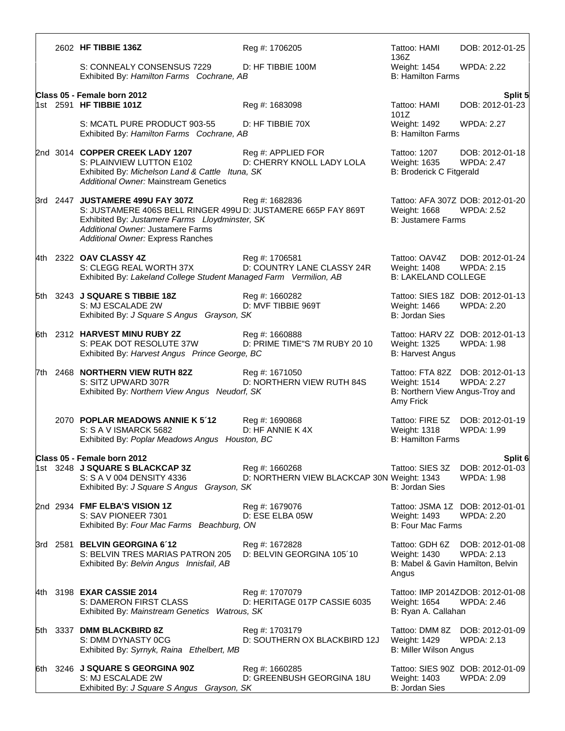|  | 2602 HF TIBBIE 136Z                                                                                                                                                                                                           | Reg #: 1706205                                               | Tattoo: HAMI<br>136Z                                                                | DOB: 2012-01-25                                       |
|--|-------------------------------------------------------------------------------------------------------------------------------------------------------------------------------------------------------------------------------|--------------------------------------------------------------|-------------------------------------------------------------------------------------|-------------------------------------------------------|
|  | S: CONNEALY CONSENSUS 7229<br>Exhibited By: Hamilton Farms Cochrane, AB                                                                                                                                                       | D: HF TIBBIE 100M                                            | Weight: 1454<br><b>B: Hamilton Farms</b>                                            | <b>WPDA: 2.22</b>                                     |
|  | Class 05 - Female born 2012                                                                                                                                                                                                   |                                                              |                                                                                     | Split 5                                               |
|  | 1st 2591 HF TIBBIE 101Z                                                                                                                                                                                                       | Reg #: 1683098                                               | Tattoo: HAMI<br>101Z                                                                | DOB: 2012-01-23                                       |
|  | S: MCATL PURE PRODUCT 903-55<br>Exhibited By: Hamilton Farms Cochrane, AB                                                                                                                                                     | D: HF TIBBIE 70X                                             | Weight: 1492<br><b>B: Hamilton Farms</b>                                            | <b>WPDA: 2.27</b>                                     |
|  | 2nd 3014 COPPER CREEK LADY 1207<br>S: PLAINVIEW LUTTON E102<br>Exhibited By: Michelson Land & Cattle Ituna, SK<br><b>Additional Owner: Mainstream Genetics</b>                                                                | Reg #: APPLIED FOR<br>D: CHERRY KNOLL LADY LOLA              | Tattoo: 1207<br>Weight: 1635<br><b>B: Broderick C Fitgerald</b>                     | DOB: 2012-01-18<br><b>WPDA: 2.47</b>                  |
|  | 3rd 2447 JUSTAMERE 499U FAY 307Z<br>S: JUSTAMERE 406S BELL RINGER 499U D: JUSTAMERE 665P FAY 869T<br>Exhibited By: Justamere Farms Lloydminster, SK<br>Additional Owner: Justamere Farms<br>Additional Owner: Express Ranches | Reg #: 1682836                                               | <b>Weight: 1668</b><br><b>B: Justamere Farms</b>                                    | Tattoo: AFA 307Z DOB: 2012-01-20<br><b>WPDA: 2.52</b> |
|  | 4th 2322 OAV CLASSY 4Z<br>S: CLEGG REAL WORTH 37X<br>Exhibited By: Lakeland College Student Managed Farm Vermilion, AB                                                                                                        | Reg #: 1706581<br>D: COUNTRY LANE CLASSY 24R                 | Tattoo: OAV4Z<br>Weight: 1408<br><b>B: LAKELAND COLLEGE</b>                         | DOB: 2012-01-24<br><b>WPDA: 2.15</b>                  |
|  | 5th 3243 J SQUARE S TIBBIE 18Z<br>S: MJ ESCALADE 2W<br>Exhibited By: J Square S Angus Grayson, SK                                                                                                                             | Reg #: 1660282<br>D: MVF TIBBIE 969T                         | Weight: 1466<br><b>B: Jordan Sies</b>                                               | Tattoo: SIES 18Z DOB: 2012-01-13<br><b>WPDA: 2.20</b> |
|  | 6th 2312 HARVEST MINU RUBY 2Z<br>S: PEAK DOT RESOLUTE 37W<br>Exhibited By: Harvest Angus Prince George, BC                                                                                                                    | Reg #: 1660888<br>D: PRIME TIME"S 7M RUBY 20 10              | Weight: 1325<br><b>B: Harvest Angus</b>                                             | Tattoo: HARV 2Z DOB: 2012-01-13<br><b>WPDA: 1.98</b>  |
|  | 7th 2468 NORTHERN VIEW RUTH 82Z<br>S: SITZ UPWARD 307R<br>Exhibited By: Northern View Angus Neudorf, SK                                                                                                                       | Reg #: 1671050<br>D: NORTHERN VIEW RUTH 84S                  | Weight: 1514<br>B: Northern View Angus-Troy and<br>Amy Frick                        | Tattoo: FTA 82Z DOB: 2012-01-13<br><b>WPDA: 2.27</b>  |
|  | 2070 POPLAR MEADOWS ANNIE K 5'12<br>S: S A V ISMARCK 5682<br>Exhibited By: Poplar Meadows Angus Houston, BC                                                                                                                   | Reg #: 1690868<br>D: HF ANNIE K 4X                           | Tattoo: FIRE 5Z<br><b>Weight: 1318</b><br><b>B: Hamilton Farms</b>                  | DOB: 2012-01-19<br><b>WPDA: 1.99</b>                  |
|  | Class 05 - Female born 2012                                                                                                                                                                                                   |                                                              |                                                                                     | Split 6                                               |
|  | 1st 3248 J SQUARE S BLACKCAP 3Z<br>S: S A V 004 DENSITY 4336<br>Exhibited By: J Square S Angus Grayson, SK                                                                                                                    | Reg #: 1660268<br>D: NORTHERN VIEW BLACKCAP 30N Weight: 1343 | Tattoo: SIES 3Z<br>B: Jordan Sies                                                   | DOB: 2012-01-03<br><b>WPDA: 1.98</b>                  |
|  | 2nd 2934 FMF ELBA'S VISION 1Z<br>S: SAV PIONEER 7301<br>Exhibited By: Four Mac Farms Beachburg, ON                                                                                                                            | Reg #: 1679076<br>D: ESE ELBA 05W                            | <b>Weight: 1493</b><br><b>B: Four Mac Farms</b>                                     | Tattoo: JSMA 1Z DOB: 2012-01-01<br><b>WPDA: 2.20</b>  |
|  | 3rd 2581 BELVIN GEORGINA 6'12<br>S: BELVIN TRES MARIAS PATRON 205<br>Exhibited By: Belvin Angus Innisfail, AB                                                                                                                 | Reg #: 1672828<br>D: BELVIN GEORGINA 105'10                  | Tattoo: GDH 6Z<br><b>Weight: 1430</b><br>B: Mabel & Gavin Hamilton, Belvin<br>Angus | DOB: 2012-01-08<br><b>WPDA: 2.13</b>                  |
|  | 4th 3198 EXAR CASSIE 2014<br>S: DAMERON FIRST CLASS<br>Exhibited By: Mainstream Genetics Watrous, SK                                                                                                                          | Reg #: 1707079<br>D: HERITAGE 017P CASSIE 6035               | Weight: 1654<br>B: Ryan A. Callahan                                                 | Tattoo: IMP 2014ZDOB: 2012-01-08<br><b>WPDA: 2.46</b> |
|  | 5th 3337 DMM BLACKBIRD 8Z<br>S: DMM DYNASTY 0CG<br>Exhibited By: Syrnyk, Raina Ethelbert, MB                                                                                                                                  | Reg #: 1703179<br>D: SOUTHERN OX BLACKBIRD 12J               | Tattoo: DMM 8Z<br>Weight: 1429<br>B: Miller Wilson Angus                            | DOB: 2012-01-09<br><b>WPDA: 2.13</b>                  |
|  | 6th 3246 J SQUARE S GEORGINA 90Z<br>S: MJ ESCALADE 2W<br>Exhibited By: J Square S Angus Grayson, SK                                                                                                                           | Reg #: 1660285<br>D: GREENBUSH GEORGINA 18U                  | Weight: 1403<br>B: Jordan Sies                                                      | Tattoo: SIES 90Z DOB: 2012-01-09<br>WPDA: 2.09        |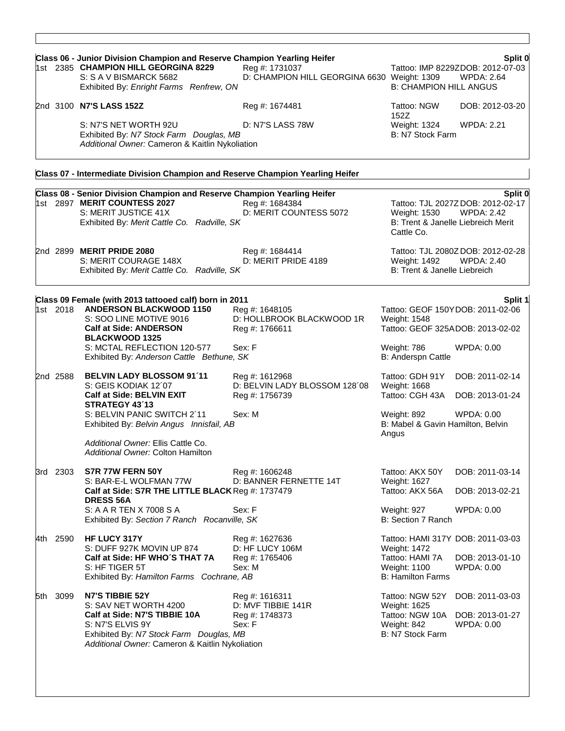|       |          | Class 06 - Junior Division Champion and Reserve Champion Yearling Heifer                                                                                                                    |                                                                             |                                                                                                                         | Split 0                                                                                                 |
|-------|----------|---------------------------------------------------------------------------------------------------------------------------------------------------------------------------------------------|-----------------------------------------------------------------------------|-------------------------------------------------------------------------------------------------------------------------|---------------------------------------------------------------------------------------------------------|
|       |          | 1st 2385 CHAMPION HILL GEORGINA 8229<br>S: S A V BISMARCK 5682<br>Exhibited By: Enright Farms Renfrew, ON                                                                                   | Reg #: 1731037<br>D: CHAMPION HILL GEORGINA 6630 Weight: 1309               | <b>B: CHAMPION HILL ANGUS</b>                                                                                           | Tattoo: IMP 8229ZDOB: 2012-07-03<br><b>WPDA: 2.64</b>                                                   |
|       |          | 2nd 3100 N7'S LASS 152Z                                                                                                                                                                     | Reg #: 1674481                                                              | Tattoo: NGW<br>152Z                                                                                                     | DOB: 2012-03-20                                                                                         |
|       |          | S: N7'S NET WORTH 92U<br>Exhibited By: N7 Stock Farm Douglas, MB<br>Additional Owner: Cameron & Kaitlin Nykoliation                                                                         | D: N7'S LASS 78W                                                            | Weight: 1324<br>B: N7 Stock Farm                                                                                        | <b>WPDA: 2.21</b>                                                                                       |
|       |          | Class 07 - Intermediate Division Champion and Reserve Champion Yearling Heifer                                                                                                              |                                                                             |                                                                                                                         |                                                                                                         |
|       |          | Class 08 - Senior Division Champion and Reserve Champion Yearling Heifer<br>1st 2897 MERIT COUNTESS 2027<br>S: MERIT JUSTICE 41X<br>Exhibited By: Merit Cattle Co. Radville, SK             | Reg #: 1684384<br>D: MERIT COUNTESS 5072                                    | Weight: 1530<br>Cattle Co.                                                                                              | Split 0<br>Tattoo: TJL 2027Z DOB: 2012-02-17<br><b>WPDA: 2.42</b><br>B: Trent & Janelle Liebreich Merit |
|       |          | 2nd 2899 MERIT PRIDE 2080<br>S: MERIT COURAGE 148X<br>Exhibited By: Merit Cattle Co. Radville, SK                                                                                           | Reg #: 1684414<br>D: MERIT PRIDE 4189                                       | Weight: 1492<br>B: Trent & Janelle Liebreich                                                                            | Tattoo: TJL 2080Z DOB: 2012-02-28<br><b>WPDA: 2.40</b>                                                  |
|       |          | Class 09 Female (with 2013 tattooed calf) born in 2011                                                                                                                                      |                                                                             |                                                                                                                         | Split 1                                                                                                 |
|       | 1st 2018 | <b>ANDERSON BLACKWOOD 1150</b><br>S: SOO LINE MOTIVE 9016<br><b>Calf at Side: ANDERSON</b><br><b>BLACKWOOD 1325</b>                                                                         | Reg #: 1648105<br>D: HOLLBROOK BLACKWOOD 1R<br>Reg #: 1766611               | Weight: 1548<br>Tattoo: GEOF 325ADOB: 2013-02-02                                                                        | Tattoo: GEOF 150YDOB: 2011-02-06                                                                        |
|       |          | S: MCTAL REFLECTION 120-577<br>Exhibited By: Anderson Cattle Bethune, SK                                                                                                                    | Sex: F                                                                      | Weight: 786<br>B: Anderspn Cattle                                                                                       | <b>WPDA: 0.00</b>                                                                                       |
|       | 2nd 2588 | <b>BELVIN LADY BLOSSOM 91'11</b><br>S: GEIS KODIAK 12'07<br><b>Calf at Side: BELVIN EXIT</b><br>STRATEGY 43'13<br>S: BELVIN PANIC SWITCH 2'11                                               | Reg #: 1612968<br>D: BELVIN LADY BLOSSOM 128'08<br>Reg #: 1756739<br>Sex: M | Tattoo: GDH 91Y<br>Weight: 1668<br>Tattoo: CGH 43A<br>Weight: 892                                                       | DOB: 2011-02-14<br>DOB: 2013-01-24<br>WPDA: 0.00                                                        |
|       |          | Exhibited By: Belvin Angus Innisfail, AB<br>Additional Owner: Ellis Cattle Co.<br>Additional Owner: Colton Hamilton                                                                         |                                                                             | B: Mabel & Gavin Hamilton, Belvin<br>Angus                                                                              |                                                                                                         |
|       | 3rd 2303 | S7R 77W FERN 50Y<br>S: BAR-E-L WOLFMAN 77W<br>Calf at Side: S7R THE LITTLE BLACK Reg #: 1737479                                                                                             | Reg #: 1606248<br>D: BANNER FERNETTE 14T                                    | Tattoo: AKX 50Y<br>Weight: 1627<br>Tattoo: AKX 56A                                                                      | DOB: 2011-03-14<br>DOB: 2013-02-21                                                                      |
|       |          | <b>DRESS 56A</b><br>S: A A R TEN X 7008 S A<br>Exhibited By: Section 7 Ranch Rocanville, SK                                                                                                 | Sex: F                                                                      | Weight: 927<br>B: Section 7 Ranch                                                                                       | WPDA: 0.00                                                                                              |
|       | 4th 2590 | HF LUCY 317Y<br>S: DUFF 927K MOVIN UP 874<br>Calf at Side: HF WHO'S THAT 7A<br>S: HF TIGER 5T<br>Exhibited By: Hamilton Farms Cochrane, AB                                                  | Reg #: 1627636<br>D: HF LUCY 106M<br>Reg #: 1765406<br>Sex: M               | Tattoo: HAMI 317Y DOB: 2011-03-03<br><b>Weight: 1472</b><br>Tattoo: HAMI 7A<br>Weight: 1100<br><b>B: Hamilton Farms</b> | DOB: 2013-01-10<br><b>WPDA: 0.00</b>                                                                    |
| 5th - | 3099     | N7'S TIBBIE 52Y<br>S: SAV NET WORTH 4200<br>Calf at Side: N7'S TIBBIE 10A<br>S: N7'S ELVIS 9Y<br>Exhibited By: N7 Stock Farm Douglas, MB<br>Additional Owner: Cameron & Kaitlin Nykoliation | Reg #: 1616311<br>D: MVF TIBBIE 141R<br>Reg #: 1748373<br>Sex: F            | Tattoo: NGW 52Y<br>Weight: 1625<br>Tattoo: NGW 10A<br>Weight: 842<br>B: N7 Stock Farm                                   | DOB: 2011-03-03<br>DOB: 2013-01-27<br><b>WPDA: 0.00</b>                                                 |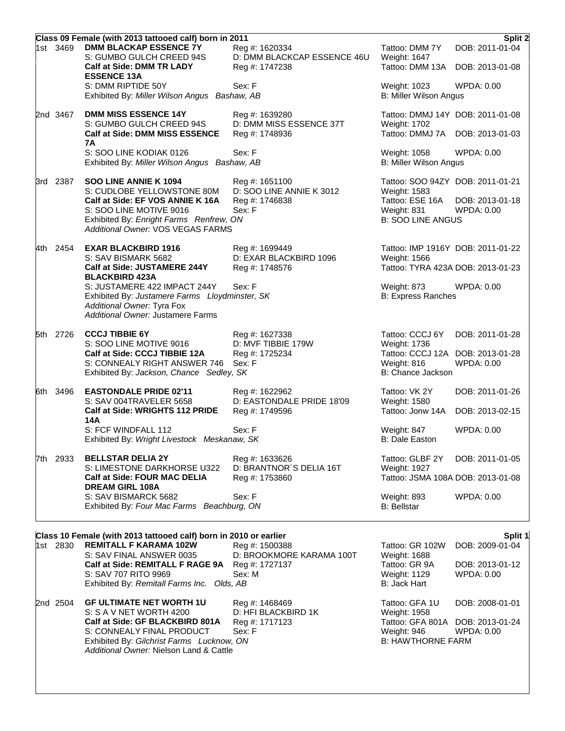|          | Class 09 Female (with 2013 tattooed calf) born in 2011                                                                                            |                                               |                                                   | Split 2                              |
|----------|---------------------------------------------------------------------------------------------------------------------------------------------------|-----------------------------------------------|---------------------------------------------------|--------------------------------------|
| 1st 3469 | <b>DMM BLACKAP ESSENCE 7Y</b><br>S: GUMBO GULCH CREED 94S                                                                                         | Reg #: 1620334<br>D: DMM BLACKCAP ESSENCE 46U | Tattoo: DMM 7Y<br>Weight: 1647                    | DOB: 2011-01-04                      |
|          | Calf at Side: DMM TR LADY<br><b>ESSENCE 13A</b>                                                                                                   | Reg #: 1747238                                | Tattoo: DMM 13A                                   | DOB: 2013-01-08                      |
|          | S: DMM RIPTIDE 50Y<br>Exhibited By: Miller Wilson Angus Bashaw, AB                                                                                | Sex: F                                        | Weight: 1023<br><b>B: Miller Wilson Angus</b>     | WPDA: 0.00                           |
| 2nd 3467 | <b>DMM MISS ESSENCE 14Y</b>                                                                                                                       | Reg #: 1639280                                | Tattoo: DMMJ 14Y DOB: 2011-01-08                  |                                      |
|          | S: GUMBO GULCH CREED 94S<br><b>Calf at Side: DMM MISS ESSENCE</b>                                                                                 | D: DMM MISS ESSENCE 37T<br>Reg #: 1748936     | Weight: 1702<br>Tattoo: DMMJ 7A                   | DOB: 2013-01-03                      |
|          | 7Α<br>S: SOO LINE KODIAK 0126<br>Exhibited By: Miller Wilson Angus Bashaw, AB                                                                     | Sex: F                                        | Weight: 1058<br><b>B: Miller Wilson Angus</b>     | <b>WPDA: 0.00</b>                    |
| 3rd 2387 | SOO LINE ANNIE K 1094                                                                                                                             | Reg #: 1651100                                | Tattoo: SOO 94ZY DOB: 2011-01-21                  |                                      |
|          | S: CUDLOBE YELLOWSTONE 80M                                                                                                                        | D: SOO LINE ANNIE K 3012                      | Weight: 1583                                      |                                      |
|          | Calf at Side: EF VOS ANNIE K 16A<br>S: SOO LINE MOTIVE 9016                                                                                       | Reg #: 1746838<br>Sex: F                      | Tattoo: ESE 16A<br>Weight: 831                    | DOB: 2013-01-18<br><b>WPDA: 0.00</b> |
|          | Exhibited By: Enright Farms Renfrew, ON<br><b>Additional Owner: VOS VEGAS FARMS</b>                                                               |                                               | <b>B: SOO LINE ANGUS</b>                          |                                      |
| 4th 2454 | <b>EXAR BLACKBIRD 1916</b>                                                                                                                        | Reg #: 1699449                                | Tattoo: IMP 1916Y DOB: 2011-01-22                 |                                      |
|          | S: SAV BISMARK 5682                                                                                                                               | D: EXAR BLACKBIRD 1096                        | <b>Weight: 1566</b>                               |                                      |
|          | Calf at Side: JUSTAMERE 244Y<br><b>BLACKBIRD 423A</b>                                                                                             | Reg #: 1748576                                | Tattoo: TYRA 423A DOB: 2013-01-23                 |                                      |
|          | S: JUSTAMERE 422 IMPACT 244Y<br>Exhibited By: Justamere Farms Lloydminster, SK<br>Additional Owner: Tyra Fox<br>Additional Owner: Justamere Farms | Sex: F                                        | Weight: 873<br><b>B: Express Ranches</b>          | <b>WPDA: 0.00</b>                    |
|          |                                                                                                                                                   |                                               |                                                   |                                      |
| 5th 2726 | <b>CCCJ TIBBIE 6Y</b><br>S: SOO LINE MOTIVE 9016                                                                                                  | Reg #: 1627338<br>D: MVF TIBBIE 179W          | Tattoo: CCCJ 6Y<br>Weight: 1736                   | DOB: 2011-01-28                      |
|          | Calf at Side: CCCJ TIBBIE 12A<br>S: CONNEALY RIGHT ANSWER 746                                                                                     | Reg #: 1725234<br>Sex: F                      | Tattoo: CCCJ 12A<br>Weight: 816                   | DOB: 2013-01-28<br><b>WPDA: 0.00</b> |
|          | Exhibited By: Jackson, Chance Sedley, SK                                                                                                          |                                               | B: Chance Jackson                                 |                                      |
| 6th 3496 | <b>EASTONDALE PRIDE 02'11</b><br>S: SAV 004TRAVELER 5658                                                                                          | Reg #: 1622962<br>D: EASTONDALE PRIDE 18'09   | Tattoo: VK 2Y<br>Weight: 1580                     | DOB: 2011-01-26                      |
|          | Calf at Side: WRIGHTS 112 PRIDE<br>14A                                                                                                            | Reg #: 1749596                                | Tattoo: Jonw 14A                                  | DOB: 2013-02-15                      |
|          | S: FCF WINDFALL 112<br>Exhibited By: Wright Livestock Meskanaw, SK                                                                                | Sex: F                                        | Weight: 847<br>B: Dale Easton                     | WPDA: 0.00                           |
| 7th 2933 | <b>BELLSTAR DELIA 2Y</b>                                                                                                                          | Reg #: 1633626                                | Tattoo: GLBF 2Y                                   | DOB: 2011-01-05                      |
|          | S: LIMESTONE DARKHORSE U322<br><b>Calf at Side: FOUR MAC DELIA</b>                                                                                | D: BRANTNOR'S DELIA 16T<br>Reg #: 1753860     | Weight: 1927<br>Tattoo: JSMA 108A DOB: 2013-01-08 |                                      |
|          | <b>DREAM GIRL 108A</b><br>S: SAV BISMARCK 5682                                                                                                    | Sex: F                                        | Weight: 893                                       | WPDA: 0.00                           |
|          | Exhibited By: Four Mac Farms Beachburg, ON                                                                                                        |                                               | <b>B: Bellstar</b>                                |                                      |

### **Class 10 Female (with 2013 tattooed calf) born in 2010 or earlier <b>Split 1** Split 1

|     |          | <u>01400 TV Follidio (111111 EVTO 141110004 0411) NOTH 111 EVTO OF 0411101</u> |                          |                          | $\ddotsc$                        |
|-----|----------|--------------------------------------------------------------------------------|--------------------------|--------------------------|----------------------------------|
| 1st | 2830     | <b>REMITALL F KARAMA 102W</b>                                                  | Reg #: 1500388           | Tattoo: GR 102W          | DOB: 2009-01-04                  |
|     |          | S: SAV FINAL ANSWER 0035                                                       | D: BROOKMORE KARAMA 100T | Weight: 1688             |                                  |
|     |          | Calf at Side: REMITALL F RAGE 9A                                               | Reg #: 1727137           | Tattoo: GR 9A            | DOB: 2013-01-12                  |
|     |          | S: SAV 707 RITO 9969                                                           | Sex: M                   | Weight: 1129             | WPDA: 0.00                       |
|     |          | Exhibited By: Remitall Farms Inc. Olds, AB                                     |                          | B: Jack Hart             |                                  |
|     | 2nd 2504 | <b>GF ULTIMATE NET WORTH 1U</b>                                                | Reg #: 1468469           | Tattoo: GFA 1U           | DOB: 2008-01-01                  |
|     |          | S: S A V NET WORTH 4200                                                        | D: HFI BLACKBIRD 1K      | Weight: 1958             |                                  |
|     |          | Calf at Side: GF BLACKBIRD 801A                                                | Reg #: 1717123           |                          | Tattoo: GFA 801A DOB: 2013-01-24 |
|     |          | S: CONNEALY FINAL PRODUCT                                                      | Sex: F                   | Weight: 946              | WPDA: 0.00                       |
|     |          | Exhibited By: Gilchrist Farms Lucknow, ON                                      |                          | <b>B: HAWTHORNE FARM</b> |                                  |
|     |          | Additional Owner: Nielson Land & Cattle                                        |                          |                          |                                  |
|     |          |                                                                                |                          |                          |                                  |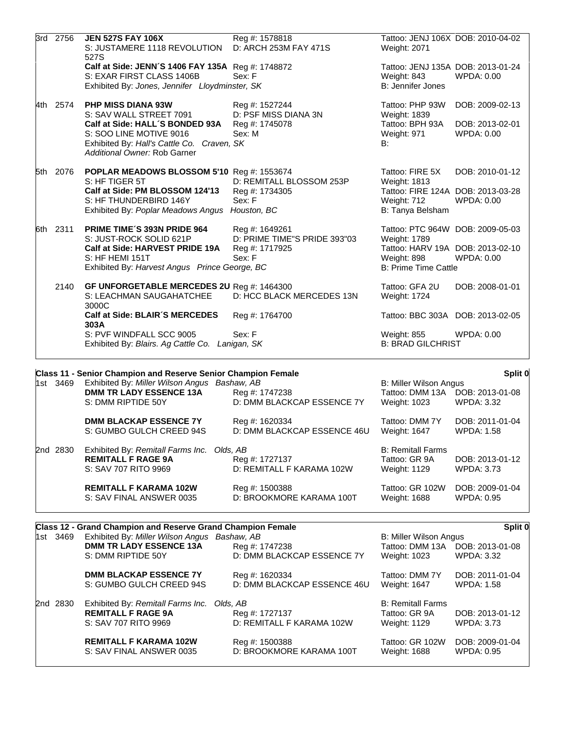|          | <b>DMM TR LADY ESSENCE 13A</b><br>S: DMM RIPTIDE 50Y                                                                                                                                             | Reg #: 1747238<br>D: DMM BLACKCAP ESSENCE 7Y                               | Tattoo: DMM 13A<br>Weight: 1023                                                                                                    | DOB: 2013-01-08<br><b>WPDA: 3.32</b>                    |
|----------|--------------------------------------------------------------------------------------------------------------------------------------------------------------------------------------------------|----------------------------------------------------------------------------|------------------------------------------------------------------------------------------------------------------------------------|---------------------------------------------------------|
| 1st 3469 | Class 11 - Senior Champion and Reserve Senior Champion Female<br>Exhibited By: Miller Wilson Angus Bashaw, AB                                                                                    |                                                                            | <b>B: Miller Wilson Angus</b>                                                                                                      | Split 0                                                 |
|          | S: PVF WINDFALL SCC 9005<br>Exhibited By: Blairs. Ag Cattle Co. Lanigan, SK                                                                                                                      | Sex: F                                                                     | Weight: 855<br><b>B: BRAD GILCHRIST</b>                                                                                            | <b>WPDA: 0.00</b>                                       |
|          | <b>Calf at Side: BLAIR'S MERCEDES</b><br>303A                                                                                                                                                    | Reg #: 1764700                                                             | Tattoo: BBC 303A DOB: 2013-02-05                                                                                                   |                                                         |
| 2140     | GF UNFORGETABLE MERCEDES 2U Reg #: 1464300<br>S: LEACHMAN SAUGAHATCHEE<br>3000C                                                                                                                  | D: HCC BLACK MERCEDES 13N                                                  | Tattoo: GFA 2U<br>Weight: 1724                                                                                                     | DOB: 2008-01-01                                         |
| 6th 2311 | <b>PRIME TIME'S 393N PRIDE 964</b><br>S: JUST-ROCK SOLID 621P<br>Calf at Side: HARVEST PRIDE 19A<br>S: HF HEMI 151T<br>Exhibited By: Harvest Angus Prince George, BC                             | Reg #: 1649261<br>D: PRIME TIME"S PRIDE 393"03<br>Reg #: 1717925<br>Sex: F | Tattoo: PTC 964W DOB: 2009-05-03<br>Weight: 1789<br>Tattoo: HARV 19A DOB: 2013-02-10<br>Weight: 898<br><b>B: Prime Time Cattle</b> | <b>WPDA: 0.00</b>                                       |
| 5th 2076 | POPLAR MEADOWS BLOSSOM 5'10 Reg #: 1553674<br>S: HF TIGER 5T<br>Calf at Side: PM BLOSSOM 124'13<br>S: HF THUNDERBIRD 146Y<br>Exhibited By: Poplar Meadows Angus Houston, BC                      | D: REMITALL BLOSSOM 253P<br>Reg #: 1734305<br>Sex: F                       | Tattoo: FIRE 5X<br>Weight: 1813<br>Tattoo: FIRE 124A DOB: 2013-03-28<br>Weight: 712<br>B: Tanya Belsham                            | DOB: 2010-01-12<br><b>WPDA: 0.00</b>                    |
| 4th 2574 | <b>PHP MISS DIANA 93W</b><br>S: SAV WALL STREET 7091<br>Calf at Side: HALL'S BONDED 93A<br>S: SOO LINE MOTIVE 9016<br>Exhibited By: Hall's Cattle Co. Craven, SK<br>Additional Owner: Rob Garner | Reg #: 1527244<br>D: PSF MISS DIANA 3N<br>Reg #: 1745078<br>Sex: M         | Tattoo: PHP 93W<br>Weight: 1839<br>Tattoo: BPH 93A<br>Weight: 971<br>B:                                                            | DOB: 2009-02-13<br>DOB: 2013-02-01<br><b>WPDA: 0.00</b> |
|          | 527S<br>Calf at Side: JENN'S 1406 FAY 135A Reg #: 1748872<br>S: EXAR FIRST CLASS 1406B<br>Exhibited By: Jones, Jennifer Lloydminster, SK                                                         | Sex: F                                                                     | Tattoo: JENJ 135A DOB: 2013-01-24<br>Weight: 843<br>B: Jennifer Jones                                                              | <b>WPDA: 0.00</b>                                       |
| 3rd 2756 | <b>JEN 527S FAY 106X</b><br>S: JUSTAMERE 1118 REVOLUTION                                                                                                                                         | Reg #: 1578818<br>D: ARCH 253M FAY 471S                                    | Tattoo: JENJ 106X DOB: 2010-04-02<br>Weight: 2071                                                                                  |                                                         |

|          | <b>DMM BLACKAP ESSENCE 7Y</b>                                                                   | Reg #: 1620334                              | Tattoo: DMM 7Y                                            | DOB: 2011-01-04                      |
|----------|-------------------------------------------------------------------------------------------------|---------------------------------------------|-----------------------------------------------------------|--------------------------------------|
|          | S: GUMBO GULCH CREED 94S                                                                        | D: DMM BLACKCAP ESSENCE 46U                 | Weight: 1647                                              | <b>WPDA: 1.58</b>                    |
| 2nd 2830 | Exhibited By: Remitall Farms Inc. Olds, AB<br><b>REMITALL F RAGE 9A</b><br>S: SAV 707 RITO 9969 | Reg #: 1727137<br>D: REMITALL F KARAMA 102W | <b>B: Remitall Farms</b><br>Tattoo: GR 9A<br>Weight: 1129 | DOB: 2013-01-12<br><b>WPDA: 3.73</b> |
|          | <b>REMITALL F KARAMA 102W</b>                                                                   | Reg #: 1500388                              | Tattoo: GR 102W                                           | DOB: 2009-01-04                      |
|          | S: SAV FINAL ANSWER 0035                                                                        | D: BROOKMORE KARAMA 100T                    | Weight: 1688                                              | WPDA: 0.95                           |

#### **Class 12 - Grand Champion and Reserve Grand Champion Female <b>Class 12 - Class 12 - Grand Champion Split 0**

|  |          | Class TZ - Grand Champion and Reserve Grand Champion Female |                             |                          | νμπ               |
|--|----------|-------------------------------------------------------------|-----------------------------|--------------------------|-------------------|
|  | 1st 3469 | Exhibited By: Miller Wilson Angus Bashaw, AB                |                             | B: Miller Wilson Angus   |                   |
|  |          | <b>DMM TR LADY ESSENCE 13A</b>                              | Reg #: 1747238              | Tattoo: DMM 13A          | DOB: 2013-01-08   |
|  |          | S: DMM RIPTIDE 50Y                                          | D: DMM BLACKCAP ESSENCE 7Y  | Weight: 1023             | <b>WPDA: 3.32</b> |
|  |          | <b>DMM BLACKAP ESSENCE 7Y</b>                               | Reg #: 1620334              | Tattoo: DMM 7Y           | DOB: 2011-01-04   |
|  |          | S: GUMBO GULCH CREED 94S                                    | D: DMM BLACKCAP ESSENCE 46U | Weight: 1647             | <b>WPDA: 1.58</b> |
|  | 2nd 2830 | Exhibited By: Remitall Farms Inc.                           | Olds. AB                    | <b>B: Remitall Farms</b> |                   |
|  |          | <b>REMITALL F RAGE 9A</b>                                   | Reg #: 1727137              | Tattoo: GR 9A            | DOB: 2013-01-12   |
|  |          | S: SAV 707 RITO 9969                                        | D: REMITALL F KARAMA 102W   | <b>Weight: 1129</b>      | <b>WPDA: 3.73</b> |
|  |          | <b>REMITALL F KARAMA 102W</b>                               | Reg #: 1500388              | Tattoo: GR 102W          | DOB: 2009-01-04   |
|  |          | S: SAV FINAL ANSWER 0035                                    | D: BROOKMORE KARAMA 100T    | Weight: 1688             | <b>WPDA: 0.95</b> |
|  |          |                                                             |                             |                          |                   |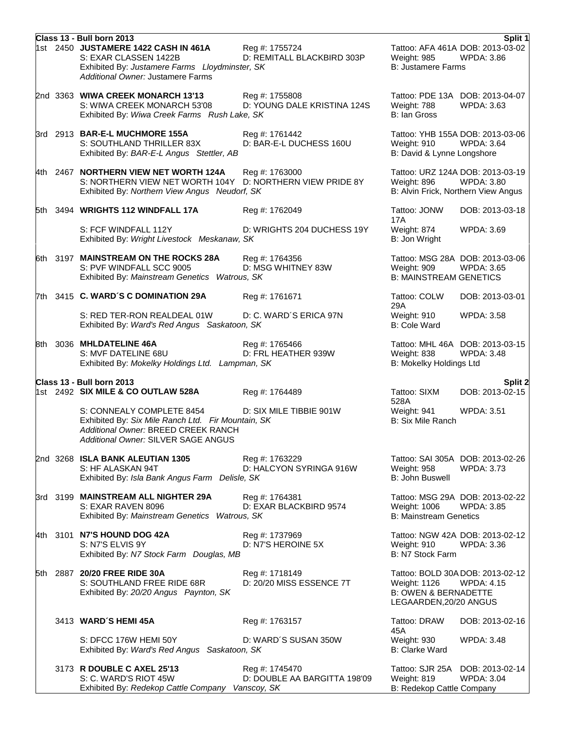|  | Class 13 - Bull born 2013                                                                                                                                     |                                                |                                                                           | Split 1                                                                                      |
|--|---------------------------------------------------------------------------------------------------------------------------------------------------------------|------------------------------------------------|---------------------------------------------------------------------------|----------------------------------------------------------------------------------------------|
|  | 1st 2450 JUSTAMERE 1422 CASH IN 461A<br>S: EXAR CLASSEN 1422B<br>Exhibited By: Justamere Farms Lloydminster, SK<br>Additional Owner: Justamere Farms          | Reg #: 1755724<br>D: REMITALL BLACKBIRD 303P   | Weight: 985<br><b>B: Justamere Farms</b>                                  | Tattoo: AFA 461A DOB: 2013-03-02<br><b>WPDA: 3.86</b>                                        |
|  | 2nd 3363 WIWA CREEK MONARCH 13'13<br>S: WIWA CREEK MONARCH 53'08<br>Exhibited By: Wiwa Creek Farms Rush Lake, SK                                              | Reg #: 1755808<br>D: YOUNG DALE KRISTINA 124S  | Weight: 788<br>B: Ian Gross                                               | Tattoo: PDE 13A DOB: 2013-04-07<br><b>WPDA: 3.63</b>                                         |
|  | 3rd 2913 BAR-E-L MUCHMORE 155A<br>S: SOUTHLAND THRILLER 83X<br>Exhibited By: BAR-E-L Angus Stettler, AB                                                       | Reg #: 1761442<br>D: BAR-E-L DUCHESS 160U      | Weight: 910<br>B: David & Lynne Longshore                                 | Tattoo: YHB 155A DOB: 2013-03-06<br><b>WPDA: 3.64</b>                                        |
|  | 4th 2467 NORTHERN VIEW NET WORTH 124A<br>S: NORTHERN VIEW NET WORTH 104Y<br>Exhibited By: Northern View Angus Neudorf, SK                                     | Reg #: 1763000<br>D: NORTHERN VIEW PRIDE 8Y    | Weight: 896                                                               | Tattoo: URZ 124A DOB: 2013-03-19<br><b>WPDA: 3.80</b><br>B: Alvin Frick, Northern View Angus |
|  | 5th 3494 WRIGHTS 112 WINDFALL 17A                                                                                                                             | Reg #: 1762049                                 | Tattoo: JONW<br><b>17A</b>                                                | DOB: 2013-03-18                                                                              |
|  | S: FCF WINDFALL 112Y<br>Exhibited By: Wright Livestock Meskanaw, SK                                                                                           | D: WRIGHTS 204 DUCHESS 19Y                     | Weight: 874<br>B: Jon Wright                                              | <b>WPDA: 3.69</b>                                                                            |
|  | 6th 3197 MAINSTREAM ON THE ROCKS 28A<br>S: PVF WINDFALL SCC 9005<br>Exhibited By: Mainstream Genetics Watrous, SK                                             | Reg #: 1764356<br>D: MSG WHITNEY 83W           | Weight: 909<br><b>B: MAINSTREAM GENETICS</b>                              | Tattoo: MSG 28A DOB: 2013-03-06<br>WPDA: 3.65                                                |
|  | 7th 3415 C. WARD'S C DOMINATION 29A                                                                                                                           | Reg #: 1761671                                 | Tattoo: COLW<br>29A                                                       | DOB: 2013-03-01                                                                              |
|  | S: RED TER-RON REALDEAL 01W<br>Exhibited By: Ward's Red Angus Saskatoon, SK                                                                                   | D: C. WARD'S ERICA 97N                         | Weight: 910<br><b>B: Cole Ward</b>                                        | <b>WPDA: 3.58</b>                                                                            |
|  | 8th 3036 MHLDATELINE 46A<br>S: MVF DATELINE 68U<br>Exhibited By: Mokelky Holdings Ltd. Lampman, SK                                                            | Reg #: 1765466<br>D: FRL HEATHER 939W          | Weight: 838<br>B: Mokelky Holdings Ltd                                    | Tattoo: MHL 46A DOB: 2013-03-15<br><b>WPDA: 3.48</b>                                         |
|  | Class 13 - Bull born 2013                                                                                                                                     |                                                |                                                                           | Split 2                                                                                      |
|  | 1st 2492 SIX MILE & CO OUTLAW 528A                                                                                                                            | Reg #: 1764489                                 | Tattoo: SIXM<br>528A                                                      | DOB: 2013-02-15                                                                              |
|  | S: CONNEALY COMPLETE 8454<br>Exhibited By: Six Mile Ranch Ltd. Fir Mountain, SK<br>Additional Owner: BREED CREEK RANCH<br>Additional Owner: SILVER SAGE ANGUS | D: SIX MILE TIBBIE 901W                        | Weight: 941<br><b>B: Six Mile Ranch</b>                                   | <b>WPDA: 3.51</b>                                                                            |
|  | 2nd 3268 ISLA BANK ALEUTIAN 1305<br>S: HF ALASKAN 94T<br>Exhibited By: Isla Bank Angus Farm Delisle, SK                                                       | Reg #: 1763229<br>D: HALCYON SYRINGA 916W      | Weight: 958<br>B: John Buswell                                            | Tattoo: SAI 305A DOB: 2013-02-26<br><b>WPDA: 3.73</b>                                        |
|  | 3rd 3199 MAINSTREAM ALL NIGHTER 29A<br>S: EXAR RAVEN 8096<br>Exhibited By: Mainstream Genetics Watrous, SK                                                    | Reg #: 1764381<br>D: EXAR BLACKBIRD 9574       | Weight: 1006<br><b>B: Mainstream Genetics</b>                             | Tattoo: MSG 29A DOB: 2013-02-22<br>WPDA: 3.85                                                |
|  | 4th 3101 N7'S HOUND DOG 42A<br>S: N7'S ELVIS 9Y<br>Exhibited By: N7 Stock Farm Douglas, MB                                                                    | Reg #: 1737969<br>D: N7'S HEROINE 5X           | Weight: 910<br>B: N7 Stock Farm                                           | Tattoo: NGW 42A DOB: 2013-02-12<br><b>WPDA: 3.36</b>                                         |
|  | 5th 2887 20/20 FREE RIDE 30A<br>S: SOUTHLAND FREE RIDE 68R<br>Exhibited By: 20/20 Angus Paynton, SK                                                           | Reg #: 1718149<br>D: 20/20 MISS ESSENCE 7T     | Weight: 1126<br><b>B: OWEN &amp; BERNADETTE</b><br>LEGAARDEN, 20/20 ANGUS | Tattoo: BOLD 30A DOB: 2013-02-12<br><b>WPDA: 4.15</b>                                        |
|  | 3413 WARD'S HEMI 45A                                                                                                                                          | Reg #: 1763157                                 | Tattoo: DRAW<br>45A                                                       | DOB: 2013-02-16                                                                              |
|  | S: DFCC 176W HEMI 50Y<br>Exhibited By: Ward's Red Angus Saskatoon, SK                                                                                         | D: WARD'S SUSAN 350W                           | Weight: 930<br>B: Clarke Ward                                             | <b>WPDA: 3.48</b>                                                                            |
|  | 3173 R DOUBLE C AXEL 25'13<br>S: C. WARD'S RIOT 45W<br>Exhibited By: Redekop Cattle Company Vanscoy, SK                                                       | Reg #: 1745470<br>D: DOUBLE AA BARGITTA 198'09 | Weight: 819<br>B: Redekop Cattle Company                                  | Tattoo: SJR 25A DOB: 2013-02-14<br><b>WPDA: 3.04</b>                                         |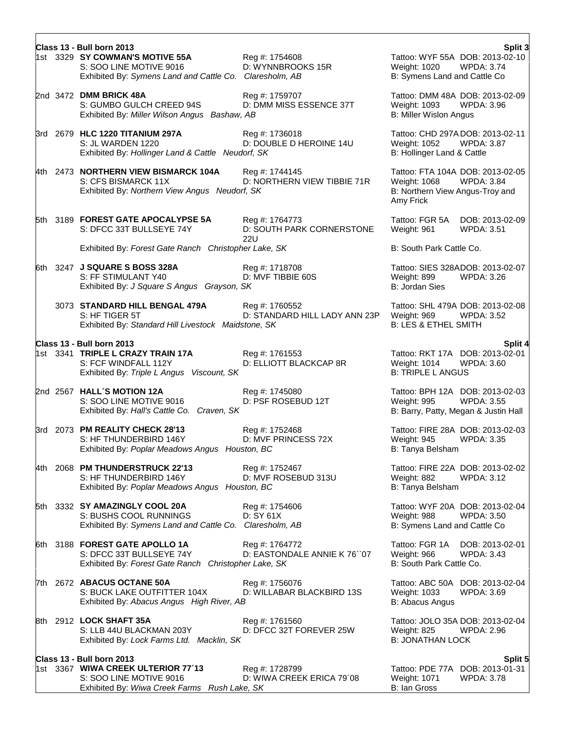|  | Class 13 - Bull born 2013<br>1st 3329 SY COWMAN'S MOTIVE 55A<br>S: SOO LINE MOTIVE 9016<br>Exhibited By: Symens Land and Cattle Co. Claresholm, AB | Reg #: 1754608<br>D: WYNNBROOKS 15R                | Split 3<br>Tattoo: WYF 55A DOB: 2013-02-10<br><b>WPDA: 3.74</b><br>Weight: 1020<br>B: Symens Land and Cattle Co       |
|--|----------------------------------------------------------------------------------------------------------------------------------------------------|----------------------------------------------------|-----------------------------------------------------------------------------------------------------------------------|
|  | 2nd 3472 DMM BRICK 48A<br>S: GUMBO GULCH CREED 94S<br>Exhibited By: Miller Wilson Angus Bashaw, AB                                                 | Reg #: 1759707<br>D: DMM MISS ESSENCE 37T          | Tattoo: DMM 48A DOB: 2013-02-09<br>Weight: 1093<br><b>WPDA: 3.96</b><br><b>B: Miller Wislon Angus</b>                 |
|  | 3rd 2679 HLC 1220 TITANIUM 297A<br>S: JL WARDEN 1220<br>Exhibited By: Hollinger Land & Cattle Neudorf, SK                                          | Reg #: 1736018<br>D: DOUBLE D HEROINE 14U          | Tattoo: CHD 297ADOB: 2013-02-11<br><b>WPDA: 3.87</b><br>Weight: 1052<br>B: Hollinger Land & Cattle                    |
|  | 4th 2473 NORTHERN VIEW BISMARCK 104A<br>S: CFS BISMARCK 11X<br>Exhibited By: Northern View Angus Neudorf, SK                                       | Reg #: 1744145<br>D: NORTHERN VIEW TIBBIE 71R      | Tattoo: FTA 104A DOB: 2013-02-05<br>Weight: 1068<br><b>WPDA: 3.84</b><br>B: Northern View Angus-Troy and<br>Amy Frick |
|  | 5th 3189 FOREST GATE APOCALYPSE 5A<br>S: DFCC 33T BULLSEYE 74Y                                                                                     | Reg #: 1764773<br>D: SOUTH PARK CORNERSTONE<br>22U | Tattoo: FGR 5A<br>DOB: 2013-02-09<br>Weight: 961<br><b>WPDA: 3.51</b>                                                 |
|  | Exhibited By: Forest Gate Ranch Christopher Lake, SK                                                                                               |                                                    | B: South Park Cattle Co.                                                                                              |
|  | 6th 3247 J SQUARE S BOSS 328A<br>S: FF STIMULANT Y40<br>Exhibited By: J Square S Angus Grayson, SK                                                 | Reg #: 1718708<br>D: MVF TIBBIE 60S                | Tattoo: SIES 328ADOB: 2013-02-07<br>Weight: 899<br><b>WPDA: 3.26</b><br><b>B: Jordan Sies</b>                         |
|  | 3073 STANDARD HILL BENGAL 479A<br>S: HF TIGER 5T<br>Exhibited By: Standard Hill Livestock Maidstone, SK                                            | Reg #: 1760552<br>D: STANDARD HILL LADY ANN 23P    | Tattoo: SHL 479A DOB: 2013-02-08<br><b>WPDA: 3.52</b><br>Weight: 969<br><b>B: LES &amp; ETHEL SMITH</b>               |
|  | Class 13 - Bull born 2013                                                                                                                          |                                                    | Split 4                                                                                                               |
|  | 1st 3341 TRIPLE L CRAZY TRAIN 17A<br>S: FCF WINDFALL 112Y<br>Exhibited By: Triple L Angus Viscount, SK                                             | Reg #: 1761553<br>D: ELLIOTT BLACKCAP 8R           | Tattoo: RKT 17A DOB: 2013-02-01<br>Weight: 1014<br>WPDA: 3.60<br><b>B: TRIPLE L ANGUS</b>                             |
|  | 2nd 2567 HALL'S MOTION 12A<br>S: SOO LINE MOTIVE 9016<br>Exhibited By: Hall's Cattle Co. Craven, SK                                                | Reg #: 1745080<br>D: PSF ROSEBUD 12T               | Tattoo: BPH 12A DOB: 2013-02-03<br><b>WPDA: 3.55</b><br>Weight: 995<br>B: Barry, Patty, Megan & Justin Hall           |
|  | 3rd 2073 PM REALITY CHECK 28'13<br>S: HF THUNDERBIRD 146Y<br>Exhibited By: Poplar Meadows Angus Houston, BC                                        | Reg #: 1752468<br>D: MVF PRINCESS 72X              | Tattoo: FIRE 28A DOB: 2013-02-03<br><b>WPDA: 3.35</b><br>Weight: 945<br>B: Tanya Belsham                              |
|  | 4th 2068 PM THUNDERSTRUCK 22'13<br>S: HF THUNDERBIRD 146Y<br>Exhibited By: Poplar Meadows Angus Houston, BC                                        | Reg #: 1752467<br>D: MVF ROSEBUD 313U              | Tattoo: FIRE 22A DOB: 2013-02-02<br>Weight: 882<br><b>WPDA: 3.12</b><br>B: Tanya Belsham                              |
|  | 5th 3332 SY AMAZINGLY COOL 20A<br>S: BUSHS COOL RUNNINGS<br>Exhibited By: Symens Land and Cattle Co. Claresholm, AB                                | Reg #: 1754606<br>D: SY 61X                        | Tattoo: WYF 20A DOB: 2013-02-04<br><b>WPDA: 3.50</b><br>Weight: 988<br>B: Symens Land and Cattle Co                   |
|  | 6th 3188 FOREST GATE APOLLO 1A<br>S: DFCC 33T BULLSEYE 74Y<br>Exhibited By: Forest Gate Ranch Christopher Lake, SK                                 | Reg #: 1764772<br>D: EASTONDALE ANNIE K 76 `07     | Tattoo: FGR 1A<br>DOB: 2013-02-01<br>Weight: 966<br><b>WPDA: 3.43</b><br>B: South Park Cattle Co.                     |
|  | 7th 2672 ABACUS OCTANE 50A<br>S: BUCK LAKE OUTFITTER 104X<br>Exhibited By: Abacus Angus High River, AB                                             | Reg #: 1756076<br>D: WILLABAR BLACKBIRD 13S        | Tattoo: ABC 50A DOB: 2013-02-04<br>Weight: 1033<br><b>WPDA: 3.69</b><br>B: Abacus Angus                               |
|  | 8th 2912 LOCK SHAFT 35A<br>S: LLB 44U BLACKMAN 203Y<br>Exhibited By: Lock Farms Ltd. Macklin, SK                                                   | Reg #: 1761560<br>D: DFCC 32T FOREVER 25W          | Tattoo: JOLO 35A DOB: 2013-02-04<br>Weight: 825<br>WPDA: 2.96<br><b>B: JONATHAN LOCK</b>                              |
|  | Class 13 - Bull born 2013                                                                                                                          |                                                    | Split 5                                                                                                               |
|  | 1st 3367 WIWA CREEK ULTERIOR 77'13<br>S: SOO LINE MOTIVE 9016<br>Exhibited By: Wiwa Creek Farms Rush Lake, SK                                      | Reg #: 1728799<br>D: WIWA CREEK ERICA 79'08        | Tattoo: PDE 77A DOB: 2013-01-31<br>Weight: 1071<br>WPDA: 3.78<br>B: Ian Gross                                         |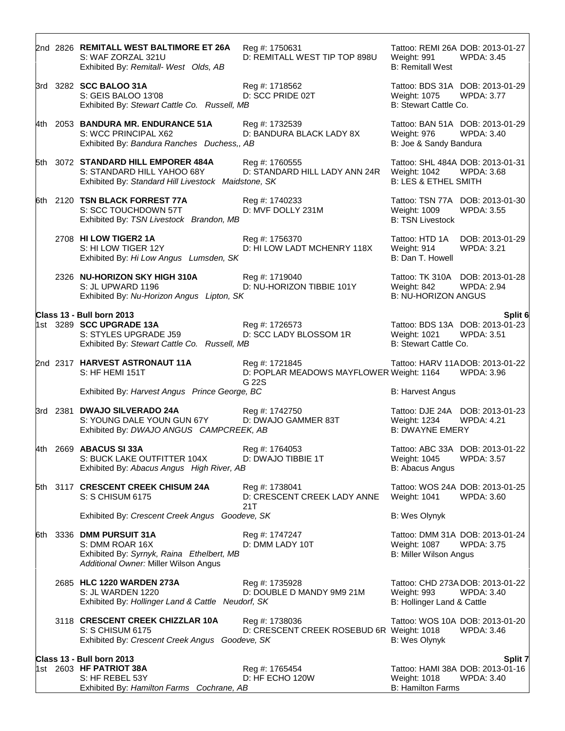|  | 2nd 2826 REMITALL WEST BALTIMORE ET 26A<br>S: WAF ZORZAL 321U<br>Exhibited By: Remitall- West Olds, AB                            | Reg #: 1750631<br>D: REMITALL WEST TIP TOP 898U                     | Weight: 991<br><b>B: Remitall West</b>            | Tattoo: REMI 26A DOB: 2013-01-27<br><b>WPDA: 3.45</b>     |
|--|-----------------------------------------------------------------------------------------------------------------------------------|---------------------------------------------------------------------|---------------------------------------------------|-----------------------------------------------------------|
|  | 3rd 3282 SCC BALOO 31A<br>S: GEIS BALOO 13'08<br>Exhibited By: Stewart Cattle Co. Russell, MB                                     | Reg #: 1718562<br>D: SCC PRIDE 02T                                  | Weight: 1075<br>B: Stewart Cattle Co.             | Tattoo: BDS 31A DOB: 2013-01-29<br><b>WPDA: 3.77</b>      |
|  | 4th 2053 BANDURA MR. ENDURANCE 51A<br>S: WCC PRINCIPAL X62<br>Exhibited By: Bandura Ranches Duchess,, AB                          | Reg #: 1732539<br>D: BANDURA BLACK LADY 8X                          | Weight: 976<br>B: Joe & Sandy Bandura             | Tattoo: BAN 51A DOB: 2013-01-29<br><b>WPDA: 3.40</b>      |
|  | 5th 3072 STANDARD HILL EMPORER 484A<br>S: STANDARD HILL YAHOO 68Y<br>Exhibited By: Standard Hill Livestock Maidstone, SK          | Reg #: 1760555<br>D: STANDARD HILL LADY ANN 24R                     | Weight: 1042<br><b>B: LES &amp; ETHEL SMITH</b>   | Tattoo: SHL 484A DOB: 2013-01-31<br>WPDA: 3.68            |
|  | 6th 2120 TSN BLACK FORREST 77A<br>S: SCC TOUCHDOWN 57T<br>Exhibited By: TSN Livestock Brandon, MB                                 | Reg #: 1740233<br>D: MVF DOLLY 231M                                 | Weight: 1009<br><b>B: TSN Livestock</b>           | Tattoo: TSN 77A DOB: 2013-01-30<br><b>WPDA: 3.55</b>      |
|  | 2708 HI LOW TIGER2 1A<br>S: HI LOW TIGER 12Y<br>Exhibited By: Hi Low Angus Lumsden, SK                                            | Reg #: 1756370<br>D: HI LOW LADT MCHENRY 118X                       | Tattoo: HTD 1A<br>Weight: 914<br>B: Dan T. Howell | DOB: 2013-01-29<br><b>WPDA: 3.21</b>                      |
|  | 2326 NU-HORIZON SKY HIGH 310A<br>S: JL UPWARD 1196<br>Exhibited By: Nu-Horizon Angus Lipton, SK                                   | Reg #: 1719040<br>D: NU-HORIZON TIBBIE 101Y                         | Weight: 842<br><b>B: NU-HORIZON ANGUS</b>         | Tattoo: TK 310A DOB: 2013-01-28<br><b>WPDA: 2.94</b>      |
|  | Class 13 - Bull born 2013                                                                                                         |                                                                     |                                                   | Split 6                                                   |
|  | 1st 3289 <b>SCC UPGRADE 13A</b><br>S: STYLES UPGRADE J59<br>Exhibited By: Stewart Cattle Co. Russell, MB                          | Reg #: 1726573<br>D: SCC LADY BLOSSOM 1R                            | Weight: 1021<br>B: Stewart Cattle Co.             | Tattoo: BDS 13A DOB: 2013-01-23<br><b>WPDA: 3.51</b>      |
|  | 2nd 2317 HARVEST ASTRONAUT 11A<br>S: HF HEMI 151T                                                                                 | Reg #: 1721845<br>D: POPLAR MEADOWS MAYFLOWER Weight: 1164<br>G 22S |                                                   | Tattoo: HARV 11ADOB: 2013-01-22<br><b>WPDA: 3.96</b>      |
|  | Exhibited By: Harvest Angus Prince George, BC                                                                                     |                                                                     | <b>B: Harvest Angus</b>                           |                                                           |
|  | 3rd 2381 DWAJO SILVERADO 24A<br>S: YOUNG DALE YOUN GUN 67Y<br>Exhibited By: DWAJO ANGUS CAMPCREEK, AB                             | Reg #: 1742750<br>D: DWAJO GAMMER 83T                               | Weight: 1234<br><b>B: DWAYNE EMERY</b>            | Tattoo: DJE 24A DOB: 2013-01-23<br><b>WPDA: 4.21</b>      |
|  | 4th 2669 ABACUS SI 33A<br>S: BUCK LAKE OUTFITTER 104X<br>Exhibited By: Abacus Angus High River, AB                                | Reg #: 1764053<br>D: DWAJO TIBBIE 1T                                | Weight: 1045<br>B: Abacus Angus                   | Tattoo: ABC 33A DOB: 2013-01-22<br><b>WPDA: 3.57</b>      |
|  | 5th 3117 CRESCENT CREEK CHISUM 24A<br>S: S CHISUM 6175                                                                            | Reg #: 1738041<br>D: CRESCENT CREEK LADY ANNE<br>21T                | Weight: 1041                                      | Tattoo: WOS 24A DOB: 2013-01-25<br><b>WPDA: 3.60</b>      |
|  | Exhibited By: Crescent Creek Angus Goodeve, SK                                                                                    |                                                                     | B: Wes Olynyk                                     |                                                           |
|  | 6th 3336 DMM PURSUIT 31A<br>S: DMM ROAR 16X<br>Exhibited By: Syrnyk, Raina Ethelbert, MB<br>Additional Owner: Miller Wilson Angus | Reg #: 1747247<br>D: DMM LADY 10T                                   | Weight: 1087<br>B: Miller Wilson Angus            | Tattoo: DMM 31A DOB: 2013-01-24<br><b>WPDA: 3.75</b>      |
|  | 2685 HLC 1220 WARDEN 273A<br>S: JL WARDEN 1220<br>Exhibited By: Hollinger Land & Cattle Neudorf, SK                               | Reg #: 1735928<br>D: DOUBLE D MANDY 9M9 21M                         | Weight: 993<br>B: Hollinger Land & Cattle         | Tattoo: CHD 273A DOB: 2013-01-22<br>WPDA: 3.40            |
|  | 3118 CRESCENT CREEK CHIZZLAR 10A<br>S: S CHISUM 6175<br>Exhibited By: Crescent Creek Angus Goodeve, SK                            | Reg #: 1738036<br>D: CRESCENT CREEK ROSEBUD 6R Weight: 1018         | B: Wes Olynyk                                     | Tattoo: WOS 10A DOB: 2013-01-20<br>WPDA: 3.46             |
|  | Class 13 - Bull born 2013                                                                                                         |                                                                     |                                                   |                                                           |
|  | 1st 2603 HF PATRIOT 38A<br>S: HF REBEL 53Y<br>Exhibited By: Hamilton Farms Cochrane, AB                                           | Reg #: 1765454<br>D: HF ECHO 120W                                   | Weight: 1018<br><b>B: Hamilton Farms</b>          | Split 7<br>Tattoo: HAMI 38A DOB: 2013-01-16<br>WPDA: 3.40 |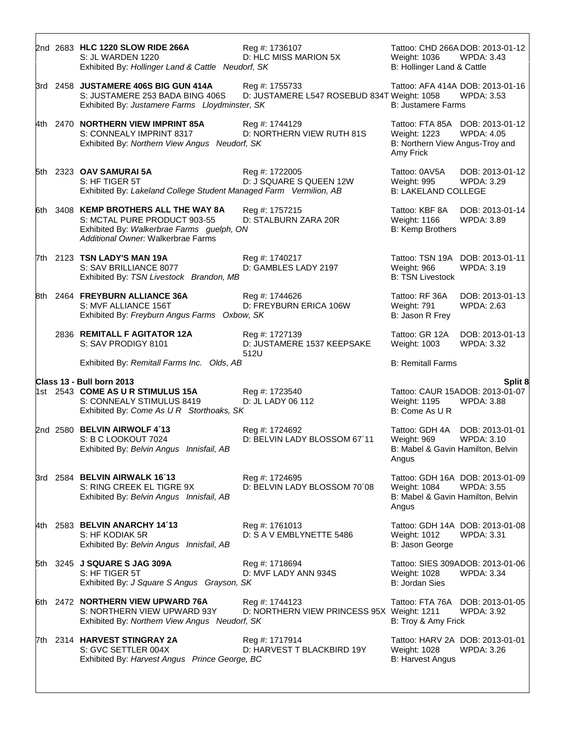|  | 2nd 2683 HLC 1220 SLOW RIDE 266A<br>S: JL WARDEN 1220<br>Exhibited By: Hollinger Land & Cattle Neudorf, SK                                               | Reg #: 1736107<br>D: HLC MISS MARION 5X                       | Weight: 1036<br>B: Hollinger Land & Cattle                   | Tattoo: CHD 266A DOB: 2013-01-12<br><b>WPDA: 3.43</b> |
|--|----------------------------------------------------------------------------------------------------------------------------------------------------------|---------------------------------------------------------------|--------------------------------------------------------------|-------------------------------------------------------|
|  | 3rd 2458 JUSTAMERE 406S BIG GUN 414A<br>S: JUSTAMERE 253 BADA BING 406S<br>Exhibited By: Justamere Farms Lloydminster, SK                                | Reg #: 1755733<br>D: JUSTAMERE L547 ROSEBUD 834T Weight: 1058 | <b>B: Justamere Farms</b>                                    | Tattoo: AFA 414A DOB: 2013-01-16<br><b>WPDA: 3.53</b> |
|  | 4th 2470 NORTHERN VIEW IMPRINT 85A<br>S: CONNEALY IMPRINT 8317<br>Exhibited By: Northern View Angus Neudorf, SK                                          | Reg #: 1744129<br>D: NORTHERN VIEW RUTH 81S                   | Weight: 1223<br>B: Northern View Angus-Troy and<br>Amy Frick | Tattoo: FTA 85A DOB: 2013-01-12<br><b>WPDA: 4.05</b>  |
|  | 5th 2323 OAV SAMURAI 5A<br>S: HF TIGER 5T<br>Exhibited By: Lakeland College Student Managed Farm Vermilion, AB                                           | Reg #: 1722005<br>D: J SQUARE S QUEEN 12W                     | Tattoo: 0AV5A<br>Weight: 995<br><b>B: LAKELAND COLLEGE</b>   | DOB: 2013-01-12<br>WPDA: 3.29                         |
|  | 6th 3408 KEMP BROTHERS ALL THE WAY 8A<br>S: MCTAL PURE PRODUCT 903-55<br>Exhibited By: Walkerbrae Farms guelph, ON<br>Additional Owner: Walkerbrae Farms | Reg #: 1757215<br>D: STALBURN ZARA 20R                        | Tattoo: KBF 8A<br>Weight: 1166<br><b>B: Kemp Brothers</b>    | DOB: 2013-01-14<br><b>WPDA: 3.89</b>                  |
|  | 7th 2123 TSN LADY'S MAN 19A<br>S: SAV BRILLIANCE 8077<br>Exhibited By: TSN Livestock Brandon, MB                                                         | Reg #: 1740217<br>D: GAMBLES LADY 2197                        | Weight: 966<br><b>B: TSN Livestock</b>                       | Tattoo: TSN 19A DOB: 2013-01-11<br><b>WPDA: 3.19</b>  |
|  | 8th 2464 FREYBURN ALLIANCE 36A<br>S: MVF ALLIANCE 156T<br>Exhibited By: Freyburn Angus Farms Oxbow, SK                                                   | Reg #: 1744626<br>D: FREYBURN ERICA 106W                      | Tattoo: RF 36A<br>Weight: 791<br>B: Jason R Frey             | DOB: 2013-01-13<br><b>WPDA: 2.63</b>                  |
|  | 2836 REMITALL F AGITATOR 12A<br>S: SAV PRODIGY 8101                                                                                                      | Reg #: 1727139<br>D: JUSTAMERE 1537 KEEPSAKE<br>512U          | Tattoo: GR 12A<br>Weight: 1003                               | DOB: 2013-01-13<br><b>WPDA: 3.32</b>                  |
|  |                                                                                                                                                          |                                                               |                                                              |                                                       |
|  | Exhibited By: Remitall Farms Inc. Olds, AB                                                                                                               |                                                               | <b>B: Remitall Farms</b>                                     |                                                       |
|  | Class 13 - Bull born 2013                                                                                                                                |                                                               |                                                              | Split 8                                               |
|  | 1st 2543 COME AS U R STIMULUS 15A<br>S: CONNEALY STIMULUS 8419<br>Exhibited By: Come As U R Storthoaks, SK                                               | Reg #: 1723540<br>D: JL LADY 06 112                           | Weight: 1195<br>B: Come As U R                               | Tattoo: CAUR 15ADOB: 2013-01-07<br><b>WPDA: 3.88</b>  |
|  | 2nd 2580 BELVIN AIRWOLF 4'13<br>S: B C LOOKOUT 7024<br>Exhibited By: Belvin Angus Innisfail, AB                                                          | Reg #: 1724692<br>D: BELVIN LADY BLOSSOM 67'11                | Weight: 969<br>B: Mabel & Gavin Hamilton, Belvin<br>Angus    | Tattoo: GDH 4A DOB: 2013-01-01<br><b>WPDA: 3.10</b>   |
|  | 3rd 2584 BELVIN AIRWALK 16'13<br>S: RING CREEK EL TIGRE 9X<br>Exhibited By: Belvin Angus Innisfail, AB                                                   | Reg #: 1724695<br>D: BELVIN LADY BLOSSOM 70'08                | Weight: 1084<br>B: Mabel & Gavin Hamilton, Belvin<br>Angus   | Tattoo: GDH 16A DOB: 2013-01-09<br><b>WPDA: 3.55</b>  |
|  | 4th 2583 BELVIN ANARCHY 14'13<br>S: HF KODIAK 5R<br>Exhibited By: Belvin Angus Innisfail, AB                                                             | Reg #: 1761013<br>D: S A V EMBLYNETTE 5486                    | Weight: 1012<br>B: Jason George                              | Tattoo: GDH 14A DOB: 2013-01-08<br><b>WPDA: 3.31</b>  |
|  | 5th 3245 J SQUARE S JAG 309A<br>S: HF TIGER 5T<br>Exhibited By: J Square S Angus Grayson, SK                                                             | Reg #: 1718694<br>D: MVF LADY ANN 934S                        | Weight: 1028<br><b>B: Jordan Sies</b>                        | Tattoo: SIES 309ADOB: 2013-01-06<br><b>WPDA: 3.34</b> |
|  | 6th 2472 NORTHERN VIEW UPWARD 76A<br>S: NORTHERN VIEW UPWARD 93Y<br>Exhibited By: Northern View Angus Neudorf, SK                                        | Reg #: 1744123<br>D: NORTHERN VIEW PRINCESS 95X Weight: 1211  | B: Troy & Amy Frick                                          | Tattoo: FTA 76A DOB: 2013-01-05<br><b>WPDA: 3.92</b>  |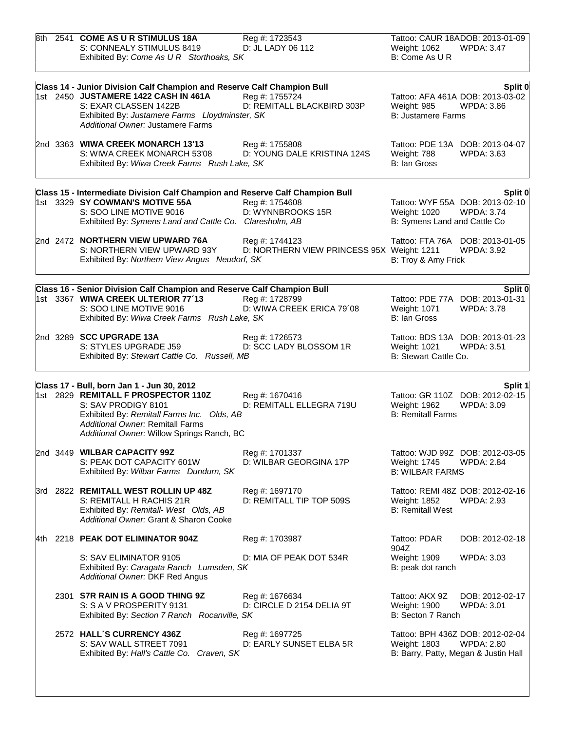|     | 8th 2541 COME AS U R STIMULUS 18A<br>S: CONNEALY STIMULUS 8419<br>Exhibited By: Come As U R Storthoaks, SK                                                                                                                      | Reg #: 1723543<br>D: JL LADY 06 112                          | Weight: 1062<br>B: Come As U R                             | Tattoo: CAUR 18ADOB: 2013-01-09<br><b>WPDA: 3.47</b>                                          |
|-----|---------------------------------------------------------------------------------------------------------------------------------------------------------------------------------------------------------------------------------|--------------------------------------------------------------|------------------------------------------------------------|-----------------------------------------------------------------------------------------------|
|     | Class 14 - Junior Division Calf Champion and Reserve Calf Champion Bull<br>1st 2450 JUSTAMERE 1422 CASH IN 461A<br>S: EXAR CLASSEN 1422B<br>Exhibited By: Justamere Farms Lloydminster, SK<br>Additional Owner: Justamere Farms | Reg #: 1755724<br>D: REMITALL BLACKBIRD 303P                 | Weight: 985<br><b>B: Justamere Farms</b>                   | Split 0<br>Tattoo: AFA 461A DOB: 2013-03-02<br><b>WPDA: 3.86</b>                              |
|     | 2nd 3363 WIWA CREEK MONARCH 13'13<br>S: WIWA CREEK MONARCH 53'08<br>Exhibited By: Wiwa Creek Farms Rush Lake, SK                                                                                                                | Reg #: 1755808<br>D: YOUNG DALE KRISTINA 124S                | Weight: 788<br>B: Ian Gross                                | Tattoo: PDE 13A DOB: 2013-04-07<br><b>WPDA: 3.63</b>                                          |
|     |                                                                                                                                                                                                                                 |                                                              |                                                            |                                                                                               |
|     | Class 15 - Intermediate Division Calf Champion and Reserve Calf Champion Bull<br>1st 3329 SY COWMAN'S MOTIVE 55A<br>S: SOO LINE MOTIVE 9016<br>Exhibited By: Symens Land and Cattle Co. Claresholm, AB                          | Reg #: 1754608<br>D: WYNNBROOKS 15R                          | Weight: 1020<br>B: Symens Land and Cattle Co               | Split 0<br>Tattoo: WYF 55A DOB: 2013-02-10<br><b>WPDA: 3.74</b>                               |
|     | 2nd 2472 NORTHERN VIEW UPWARD 76A<br>S: NORTHERN VIEW UPWARD 93Y<br>Exhibited By: Northern View Angus Neudorf, SK                                                                                                               | Reg #: 1744123<br>D: NORTHERN VIEW PRINCESS 95X Weight: 1211 | B: Troy & Amy Frick                                        | Tattoo: FTA 76A DOB: 2013-01-05<br><b>WPDA: 3.92</b>                                          |
|     | Class 16 - Senior Division Calf Champion and Reserve Calf Champion Bull<br>1st 3367 WIWA CREEK ULTERIOR 77'13<br>S: SOO LINE MOTIVE 9016<br>Exhibited By: Wiwa Creek Farms Rush Lake, SK                                        | Reg #: 1728799<br>D: WIWA CREEK ERICA 79'08                  | Weight: 1071<br>B: Ian Gross                               | Split 0<br>Tattoo: PDE 77A DOB: 2013-01-31<br><b>WPDA: 3.78</b>                               |
|     | 2nd 3289 SCC UPGRADE 13A<br>S: STYLES UPGRADE J59<br>Exhibited By: Stewart Cattle Co. Russell, MB                                                                                                                               | Reg #: 1726573<br>D: SCC LADY BLOSSOM 1R                     | Weight: 1021<br>B: Stewart Cattle Co.                      | Tattoo: BDS 13A DOB: 2013-01-23<br><b>WPDA: 3.51</b>                                          |
|     | Class 17 - Bull, born Jan 1 - Jun 30, 2012                                                                                                                                                                                      |                                                              |                                                            |                                                                                               |
|     | 1st 2829 REMITALL F PROSPECTOR 110Z<br>S: SAV PRODIGY 8101<br>Exhibited By: Remitall Farms Inc. Olds, AB<br><b>Additional Owner: Remitall Farms</b><br>Additional Owner: Willow Springs Ranch, BC                               | Reg #: 1670416<br>D: REMITALL ELLEGRA 719U                   | Weight: 1962<br><b>B: Remitall Farms</b>                   | Split 1<br>Tattoo: GR 110Z DOB: 2012-02-15<br>WPDA: 3.09                                      |
|     | 2nd 3449 WILBAR CAPACITY 99Z<br>S: PEAK DOT CAPACITY 601W<br>Exhibited By: Wilbar Farms Dundurn, SK                                                                                                                             | Reg #: 1701337<br>D: WILBAR GEORGINA 17P                     | Weight: 1745<br><b>B: WILBAR FARMS</b>                     | Tattoo: WJD 99Z DOB: 2012-03-05<br><b>WPDA: 2.84</b>                                          |
|     | 3rd 2822 REMITALL WEST ROLLIN UP 48Z<br>S: REMITALL H RACHIS 21R<br>Exhibited By: Remitall- West Olds, AB<br>Additional Owner: Grant & Sharon Cooke                                                                             | Reg #: 1697170<br>D: REMITALL TIP TOP 509S                   | Weight: 1852<br><b>B: Remitall West</b>                    | Tattoo: REMI 48Z DOB: 2012-02-16<br><b>WPDA: 2.93</b>                                         |
| 4th | 2218 PEAK DOT ELIMINATOR 904Z                                                                                                                                                                                                   | Reg #: 1703987                                               | Tattoo: PDAR                                               | DOB: 2012-02-18                                                                               |
|     | S: SAV ELIMINATOR 9105<br>Exhibited By: Caragata Ranch Lumsden, SK<br>Additional Owner: DKF Red Angus                                                                                                                           | D: MIA OF PEAK DOT 534R                                      | 904Z<br>Weight: 1909<br>B: peak dot ranch                  | <b>WPDA: 3.03</b>                                                                             |
|     | 2301 S7R RAIN IS A GOOD THING 9Z<br>S: S A V PROSPERITY 9131<br>Exhibited By: Section 7 Ranch Rocanville, SK                                                                                                                    | Reg #: 1676634<br>D: CIRCLE D 2154 DELIA 9T                  | Tattoo: AKX 9Z<br><b>Weight: 1900</b><br>B: Secton 7 Ranch | DOB: 2012-02-17<br>WPDA: 3.01                                                                 |
|     | 2572 HALL'S CURRENCY 436Z<br>S: SAV WALL STREET 7091<br>Exhibited By: Hall's Cattle Co. Craven, SK                                                                                                                              | Reg #: 1697725<br>D: EARLY SUNSET ELBA 5R                    | Weight: 1803                                               | Tattoo: BPH 436Z DOB: 2012-02-04<br><b>WPDA: 2.80</b><br>B: Barry, Patty, Megan & Justin Hall |
|     |                                                                                                                                                                                                                                 |                                                              |                                                            |                                                                                               |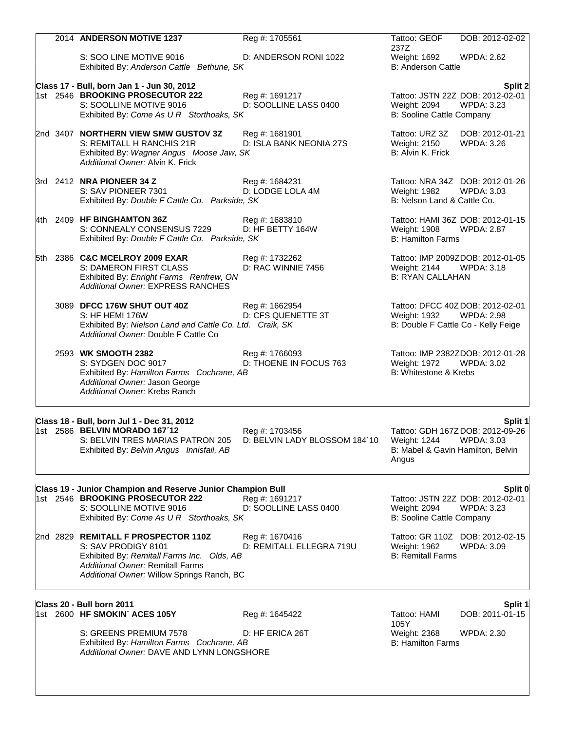|  | 2014 ANDERSON MOTIVE 1237                                                                                                                                                                         | Reg #: 1705561                                  | Tattoo: GEOF                                               | DOB: 2012-02-02                                                                             |
|--|---------------------------------------------------------------------------------------------------------------------------------------------------------------------------------------------------|-------------------------------------------------|------------------------------------------------------------|---------------------------------------------------------------------------------------------|
|  | S: SOO LINE MOTIVE 9016<br>Exhibited By: Anderson Cattle Bethune, SK                                                                                                                              | D: ANDERSON RONI 1022                           | 237Z<br>Weight: 1692<br><b>B: Anderson Cattle</b>          | <b>WPDA: 2.62</b>                                                                           |
|  | Class 17 - Bull, born Jan 1 - Jun 30, 2012                                                                                                                                                        |                                                 |                                                            | Split 2                                                                                     |
|  | 1st 2546 BROOKING PROSECUTOR 222<br>S: SOOLLINE MOTIVE 9016<br>Exhibited By: Come As U R Storthoaks, SK                                                                                           | Reg #: 1691217<br>D: SOOLLINE LASS 0400         | Weight: 2094<br>B: Sooline Cattle Company                  | Tattoo: JSTN 22Z DOB: 2012-02-01<br><b>WPDA: 3.23</b>                                       |
|  | 2nd 3407 NORTHERN VIEW SMW GUSTOV 3Z<br>S: REMITALL H RANCHIS 21R<br>Exhibited By: Wagner Angus Moose Jaw, SK<br>Additional Owner: Alvin K. Frick                                                 | Reg #: 1681901<br>D: ISLA BANK NEONIA 27S       | Tattoo: URZ 3Z<br>Weight: 2150<br>B: Alvin K. Frick        | DOB: 2012-01-21<br><b>WPDA: 3.26</b>                                                        |
|  | 3rd 2412 NRA PIONEER 34 Z<br>S: SAV PIONEER 7301<br>Exhibited By: Double F Cattle Co. Parkside, SK                                                                                                | Reg #: 1684231<br>D: LODGE LOLA 4M              | Weight: 1982<br>B: Nelson Land & Cattle Co.                | Tattoo: NRA 34Z DOB: 2012-01-26<br><b>WPDA: 3.03</b>                                        |
|  | 4th 2409 HF BINGHAMTON 36Z<br>S: CONNEALY CONSENSUS 7229<br>Exhibited By: Double F Cattle Co. Parkside, SK                                                                                        | Reg #: 1683810<br>D: HF BETTY 164W              | Weight: 1908<br><b>B: Hamilton Farms</b>                   | Tattoo: HAMI 36Z DOB: 2012-01-15<br><b>WPDA: 2.87</b>                                       |
|  | 5th 2386 C&C MCELROY 2009 EXAR<br>S: DAMERON FIRST CLASS<br>Exhibited By: Enright Farms Renfrew, ON<br>Additional Owner: EXPRESS RANCHES                                                          | Reg #: 1732262<br>D: RAC WINNIE 7456            | Weight: 2144<br><b>B: RYAN CALLAHAN</b>                    | Tattoo: IMP 2009ZDOB: 2012-01-05<br>WPDA: 3.18                                              |
|  | 3089 DFCC 176W SHUT OUT 40Z<br>S: HF HEMI 176W<br>Exhibited By: Nielson Land and Cattle Co. Ltd. Craik, SK<br>Additional Owner: Double F Cattle Co                                                | Reg #: 1662954<br>D: CFS QUENETTE 3T            | Weight: 1932                                               | Tattoo: DFCC 40ZDOB: 2012-02-01<br><b>WPDA: 2.98</b><br>B: Double F Cattle Co - Kelly Feige |
|  | 2593 WK SMOOTH 2382<br>S: SYDGEN DOC 9017<br>Exhibited By: Hamilton Farms Cochrane, AB<br>Additional Owner: Jason George<br>Additional Owner: Krebs Ranch                                         | Reg #: 1766093<br>D: THOENE IN FOCUS 763        | Weight: 1972 WPDA: 3.02<br>B: Whitestone & Krebs           | Tattoo: IMP 2382ZDOB: 2012-01-28                                                            |
|  |                                                                                                                                                                                                   |                                                 |                                                            |                                                                                             |
|  | Class 18 - Bull, born Jul 1 - Dec 31, 2012<br>1st 2586 BELVIN MORADO 167'12<br>S: BELVIN TRES MARIAS PATRON 205<br>Exhibited By: Belvin Angus Innisfail, AB                                       | Reg #: 1703456<br>D: BELVIN LADY BLOSSOM 184'10 | Weight: 1244<br>B: Mabel & Gavin Hamilton, Belvin<br>Angus | Split 1<br>Tattoo: GDH 167ZDOB: 2012-09-26<br><b>WPDA: 3.03</b>                             |
|  |                                                                                                                                                                                                   |                                                 |                                                            |                                                                                             |
|  | Class 19 - Junior Champion and Reserve Junior Champion Bull<br>1st 2546 BROOKING PROSECUTOR 222<br>S: SOOLLINE MOTIVE 9016<br>Exhibited By: Come As U R Storthoaks, SK                            | Reg #: 1691217<br>D: SOOLLINE LASS 0400         | Weight: 2094<br>B: Sooline Cattle Company                  | Split 0<br>Tattoo: JSTN 22Z DOB: 2012-02-01<br><b>WPDA: 3.23</b>                            |
|  | 2nd 2829 REMITALL F PROSPECTOR 110Z<br>S: SAV PRODIGY 8101<br>Exhibited By: Remitall Farms Inc. Olds, AB<br><b>Additional Owner: Remitall Farms</b><br>Additional Owner: Willow Springs Ranch, BC | Reg #: 1670416<br>D: REMITALL ELLEGRA 719U      | Weight: 1962<br><b>B: Remitall Farms</b>                   | Tattoo: GR 110Z DOB: 2012-02-15<br><b>WPDA: 3.09</b>                                        |
|  |                                                                                                                                                                                                   |                                                 |                                                            |                                                                                             |
|  | Class 20 - Bull born 2011<br>1st 2600 HF SMOKIN' ACES 105Y                                                                                                                                        | Reg #: 1645422                                  | Tattoo: HAMI<br>105Y                                       | Split 1<br>DOB: 2011-01-15                                                                  |
|  | S: GREENS PREMIUM 7578<br>Exhibited By: Hamilton Farms Cochrane, AB<br>Additional Owner: DAVE AND LYNN LONGSHORE                                                                                  | D: HF ERICA 26T                                 | Weight: 2368<br><b>B: Hamilton Farms</b>                   | <b>WPDA: 2.30</b>                                                                           |
|  |                                                                                                                                                                                                   |                                                 |                                                            |                                                                                             |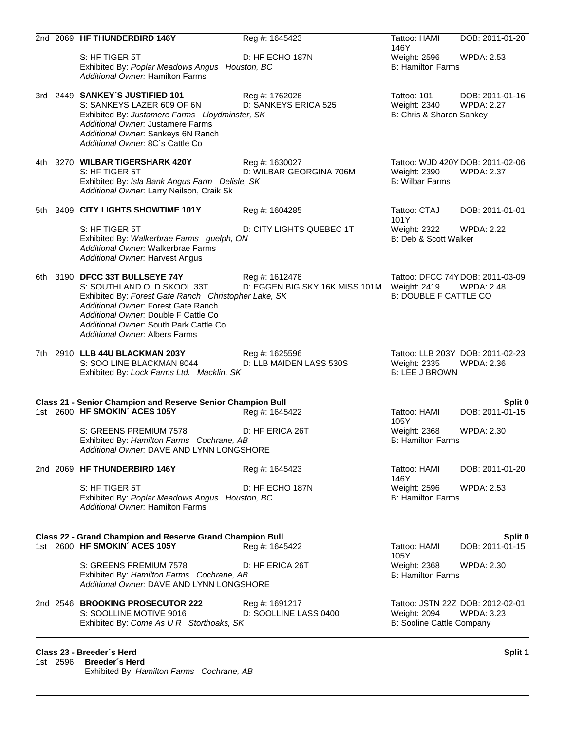|          | 2nd 2069 HF THUNDERBIRD 146Y                                                                                                                                                                                                                                                           | Reg #: 1645423                                   | Tattoo: HAMI                                            | DOB: 2011-01-20                                       |
|----------|----------------------------------------------------------------------------------------------------------------------------------------------------------------------------------------------------------------------------------------------------------------------------------------|--------------------------------------------------|---------------------------------------------------------|-------------------------------------------------------|
|          | S: HF TIGER 5T<br>Exhibited By: Poplar Meadows Angus Houston, BC<br>Additional Owner: Hamilton Farms                                                                                                                                                                                   | D: HF ECHO 187N                                  | 146Y<br>Weight: 2596<br><b>B: Hamilton Farms</b>        | <b>WPDA: 2.53</b>                                     |
|          | 3rd 2449 SANKEY'S JUSTIFIED 101<br>S: SANKEYS LAZER 609 OF 6N<br>Exhibited By: Justamere Farms Lloydminster, SK<br>Additional Owner: Justamere Farms<br>Additional Owner: Sankeys 6N Ranch<br>Additional Owner: 8C's Cattle Co                                                         | Reg #: 1762026<br>D: SANKEYS ERICA 525           | Tattoo: 101<br>Weight: 2340<br>B: Chris & Sharon Sankey | DOB: 2011-01-16<br><b>WPDA: 2.27</b>                  |
|          | 4th 3270 WILBAR TIGERSHARK 420Y<br>S: HF TIGER 5T<br>Exhibited By: Isla Bank Angus Farm Delisle, SK<br>Additional Owner: Larry Neilson, Craik Sk                                                                                                                                       | Reg #: 1630027<br>D: WILBAR GEORGINA 706M        | Weight: 2390<br><b>B: Wilbar Farms</b>                  | Tattoo: WJD 420Y DOB: 2011-02-06<br><b>WPDA: 2.37</b> |
|          | 5th 3409 CITY LIGHTS SHOWTIME 101Y                                                                                                                                                                                                                                                     | Reg #: 1604285                                   | Tattoo: CTAJ                                            | DOB: 2011-01-01                                       |
|          | S: HF TIGER 5T<br>Exhibited By: Walkerbrae Farms guelph, ON<br>Additional Owner: Walkerbrae Farms<br>Additional Owner: Harvest Angus                                                                                                                                                   | D: CITY LIGHTS QUEBEC 1T                         | 101Y<br>Weight: 2322<br>B: Deb & Scott Walker           | <b>WPDA: 2.22</b>                                     |
|          | 6th 3190 DFCC 33T BULLSEYE 74Y<br>S: SOUTHLAND OLD SKOOL 33T<br>Exhibited By: Forest Gate Ranch Christopher Lake, SK<br>Additional Owner: Forest Gate Ranch<br>Additional Owner: Double F Cattle Co<br>Additional Owner: South Park Cattle Co<br><b>Additional Owner: Albers Farms</b> | Reg #: 1612478<br>D: EGGEN BIG SKY 16K MISS 101M | Weight: 2419<br><b>B: DOUBLE F CATTLE CO</b>            | Tattoo: DFCC 74YDOB: 2011-03-09<br><b>WPDA: 2.48</b>  |
|          | 7th 2910 LLB 44U BLACKMAN 203Y<br>S: SOO LINE BLACKMAN 8044<br>Exhibited By: Lock Farms Ltd. Macklin, SK                                                                                                                                                                               | Reg #: 1625596<br>D: LLB MAIDEN LASS 530S        | Weight: 2335<br><b>B: LEE J BROWN</b>                   | Tattoo: LLB 203Y DOB: 2011-02-23<br><b>WPDA: 2.36</b> |
|          | Class 21 - Senior Champion and Reserve Senior Champion Bull                                                                                                                                                                                                                            |                                                  |                                                         | Split 0                                               |
|          | 1st 2600 HF SMOKIN' ACES 105Y                                                                                                                                                                                                                                                          | Reg #: 1645422                                   | Tattoo: HAMI<br>105Y                                    | DOB: 2011-01-15                                       |
|          | S: GREENS PREMIUM 7578<br>Exhibited By: Hamilton Farms Cochrane, AB<br><b>Additional Owner: DAVE AND LYNN LONGSHORE</b>                                                                                                                                                                | D: HF ERICA 26T                                  | Weight: 2368<br><b>B: Hamilton Farms</b>                | WPDA: 2.30                                            |
|          | 2nd 2069 HF THUNDERBIRD 146Y                                                                                                                                                                                                                                                           | Reg #: 1645423                                   | Tattoo: HAMI                                            | DOB: 2011-01-20                                       |
|          | S: HF TIGER 5T<br>Exhibited By: Poplar Meadows Angus Houston, BC<br>Additional Owner: Hamilton Farms                                                                                                                                                                                   | D: HF ECHO 187N                                  | 146Y<br>Weight: 2596<br><b>B: Hamilton Farms</b>        | <b>WPDA: 2.53</b>                                     |
|          | Class 22 - Grand Champion and Reserve Grand Champion Bull<br>1st 2600 HF SMOKIN' ACES 105Y                                                                                                                                                                                             | Reg #: 1645422                                   | Tattoo: HAMI<br>105Y                                    | Split 0<br>DOB: 2011-01-15                            |
|          | S: GREENS PREMIUM 7578<br>Exhibited By: Hamilton Farms Cochrane, AB<br>Additional Owner: DAVE AND LYNN LONGSHORE                                                                                                                                                                       | D: HF ERICA 26T                                  | Weight: 2368<br><b>B: Hamilton Farms</b>                | <b>WPDA: 2.30</b>                                     |
|          | 2nd 2546 BROOKING PROSECUTOR 222<br>S: SOOLLINE MOTIVE 9016<br>Exhibited By: Come As U R Storthoaks, SK                                                                                                                                                                                | Reg #: 1691217<br>D: SOOLLINE LASS 0400          | Weight: 2094<br>B: Sooline Cattle Company               | Tattoo: JSTN 22Z DOB: 2012-02-01<br><b>WPDA: 3.23</b> |
| 1st 2596 | Class 23 - Breeder's Herd<br><b>Breeder's Herd</b>                                                                                                                                                                                                                                     |                                                  |                                                         | Split 1                                               |

Exhibited By: *Hamilton Farms Cochrane, AB*